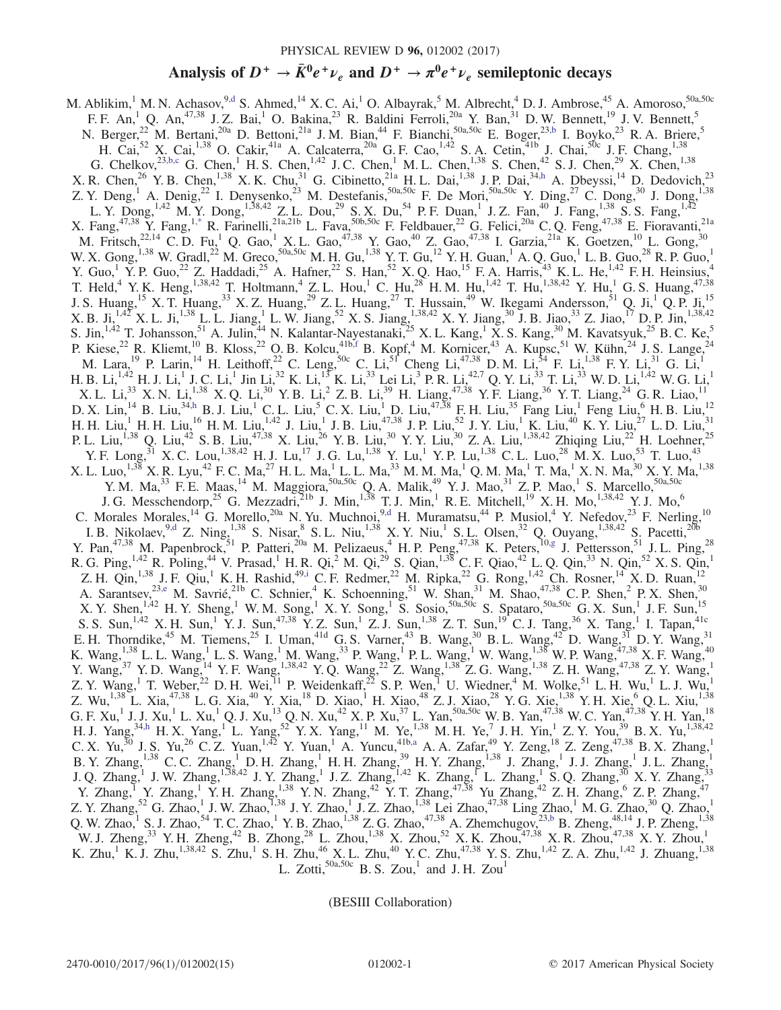# Analysis of  $D^+ \to \bar{K}^0 e^+ \nu_e$  and  $D^+ \to \pi^0 e^+ \nu_e$  semileptonic decays

<span id="page-0-6"></span><span id="page-0-5"></span><span id="page-0-3"></span><span id="page-0-0"></span>M. Ablikim,  $^1$  M. N. Achasov,  $^{9, d}$  S. Ahmed,  $^{14}$  X. C. Ai,  $^1$  O. Albayrak,  $^5$  M. Albrecht,  $^4$  D. J. Ambrose,  $^{45}$  A. Amoroso,  $^{50a,50c}$ F. F. An,<sup>1</sup> Q. An,<sup>47,38</sup> J. Z. Bai,<sup>1</sup> O. Bakina,<sup>23</sup> R. Baldini Ferroli,<sup>20a</sup> Y. Ban,<sup>31</sup> D. W. Bennett,<sup>19</sup> J. V. Bennett,<sup>5</sup> N. Berger,<sup>22</sup> M. Bertani,<sup>20a</sup> D. Bettoni,<sup>21a</sup> J. M. Bian,<sup>44</sup> F. Bianchi,<sup>50a,50c</sup> E. Boger,<sup>23[,b](#page-2-1)</sup> I. Boyko,<sup>23</sup> R. A. Briere,<sup>5</sup> H. Cai,<sup>52</sup> X. Cai,<sup>1,38</sup> O. Cakir,<sup>41a</sup> A. Calcaterra,<sup>20a</sup> G. F. Cao,<sup>1,42</sup> S. A. Cetin,<sup>41b</sup> J. Chai,<sup>50c</sup> J. F. Chang,<sup>1,38</sup> G. Chelkov,  $^{23,b,c}$  $^{23,b,c}$  $^{23,b,c}$  G. Chen, H. S. Chen,  $^{1,42}$  J. C. Chen, M. L. Chen,  $^{1,38}$  S. Chen,  $^{42}$  S. J. Chen,  $^{29}$  X. Chen,  $^{1,38}$ X. R. Chen,<sup>26</sup> Y. B. Chen,<sup>1,38</sup> X. K. Chu,<sup>31</sup> G. Cibinetto,<sup>21a</sup> H. L. Dai,<sup>1,38</sup> J. P. Dai,<sup>3[4,h](#page-2-2)</sup> A. Dbeyssi,<sup>14</sup> D. Dedovich,<sup>23</sup> Z. Y. Deng,<sup>1</sup> A. Denig,<sup>22</sup> I. Denysenko,<sup>23</sup> M. Destefanis,<sup>50a,50c</sup> F. De Mori,<sup>50a,50c</sup> Y. Ding,<sup>27</sup> C. Dong,<sup>30</sup> J. Dong,<sup>1,38</sup> L. Y. Dong, <sup>1,42</sup> M. Y. Dong, <sup>1,38,42</sup> Z. L. Dou,<sup>29</sup> S. X. Du,<sup>54</sup> P. F. Duan,<sup>1</sup> J. Z. Fan,<sup>40</sup> J. Fang, <sup>1,38</sup> S. S. Fang, <sup>1,42</sup> X. Fang,  $4^{7,38}$  Y. Fang,  $1^*$  R. Farinelli,  $2^{1a,21b}$  L. Fava,  $50b,50c$  F. Feldbauer,  $2^2$  G. Felici,  $2^{0a}$  C. Q. Feng,  $4^{7,38}$  E. Fioravanti,  $2^{1a}$ M. Fritsch,<sup>22,14</sup> C. D. Fu,<sup>1</sup> Q. Gao,<sup>1</sup> X. L. Gao,<sup>47,38</sup> Y. Gao,<sup>40</sup> Z. Gao,<sup>47,38</sup> I. Garzia,<sup>21a</sup> K. Goetzen,<sup>10</sup> L. Gong,<sup>30</sup> W. X. Gong,  $^{1,38}$  W. Gradl,  $^{22}$  M. Greco,  $^{50a,50c}$  M. H. Gu,  $^{1,38}$  Y. T. Gu,  $^{12}$  Y. H. Guan,  $^{1}$  A. Q. Guo,  $^{1}$  L. B. Guo,  $^{28}$  R. P. Guo,  $^{1}$ Y. Guo,<sup>1</sup> Y. P. Guo,<sup>22</sup> Z. Haddadi,<sup>25</sup> A. Hafner,<sup>22</sup> S. Han,<sup>52</sup> X. Q. Hao,<sup>15</sup> F. A. Harris,<sup>43</sup> K. L. He,<sup>1,42</sup> F. H. Heinsius,<sup>4</sup> T. Held,<sup>4</sup> Y. K. Heng,<sup>1,38,42</sup> T. Holtmann,<sup>4</sup> Z. L. Hou,<sup>1</sup> C. Hu,<sup>28</sup> H. M. Hu,<sup>1,42</sup> T. Hu,<sup>1,38,42</sup> Y. Hu,<sup>1</sup> G. S. Huang,<sup>47,38</sup> J. S. Huang,<sup>15</sup> X. T. Huang,<sup>33</sup> X. Z. Huang,<sup>29</sup> Z. L. Huang,<sup>27</sup> T. Hussain,<sup>49</sup> W. Ikegami Andersson,<sup>51</sup> Q. Ji,<sup>1</sup> Q. P. Ji,<sup>15</sup> X. B. Ji,<sup>1,47</sup> X. L. Ji,<sup>1,38</sup> L. L. Jiang,<sup>1</sup> L. W. Jiang,<sup>52</sup> X. S. Jiang,<sup>1,38,42</sup> X. Y. Jiang,<sup>30</sup> J. B. Jiao,<sup>33</sup> Z. Jiao,<sup>17</sup> D. P. Jin,<sup>1,38,42</sup> S. Jin,<sup>1,42</sup> T. Johansson,<sup>51</sup> A. Julin,<sup>44</sup> N. Kalantar-Nayestanaki,<sup>25</sup> X. L. Kang,<sup>1</sup> X. S. Kang,<sup>30</sup> M. Kavatsyuk,<sup>25</sup> B. C. Ke,<sup>5</sup> P. Kiese,  $^{22}$  R. Kliemt,  $^{10}$  B. Kloss,  $^{22}$  O. B. Kolcu,  $^{41b,f}$  $^{41b,f}$  $^{41b,f}$  B. Kopf,  $^{4}$  M. Kornicer,  $^{43}$  A. Kupsc,  $^{51}$  W. Kühn,  $^{24}$  J. S. Lange,  $^{24}$ M. Lara,  $^{19}$  P. Larin,  $^{14}$  H. Leithoff,  $^{22}$  C. Leng,  $^{50c}$  C. Li,  $^{51}$  Cheng Li,  $^{47,38}$  D. M. Li,  $^{54}$  F. Li,  $^{1,38}$  F. Y. Li,  $^{31}$  G. Li,  $^{1,1}$ H. B. Li, $^{1,42}$  H. J. Li, $^{1}$  J. C. Li, $^{1}$  Jin Li, $^{32}$  K. Li, $^{15}$  K. Li, $^{33}$  Lei Li, $^{3}$  P. R. Li, $^{42,7}$  Q. Y. Li, $^{33}$  T. Li, $^{33}$  W. D. Li, $^{1,42}$  W. G. Li, $^{1}$ X. L. Li,  $^{133}$  X. N. Li,  $^{1,38}$  X. Q. Li,  $^{30}$  Y. B. Li,  $^{2}$  Z. B. Li,  $^{39}$  H. Liang,  $^{47,38}$  Y. F. Liang,  $^{36}$  Y. T. Liang,  $^{24}$  G. R. Liao,  $^{11}$ D. X. Lin,  $^{14}$  B. Liu,  $^{34,h}$  $^{34,h}$  $^{34,h}$  B. J. Liu,  $^{1}$  C. L. Liu,  $^{5}$  C. X. Liu,  $^{1}$  D. Liu,  $^{47,38}$  F. H. Liu,  $^{35}$  Fang Liu,  $^{1}$  Feng Liu,  $^{6}$  H. B. Liu,  $^{12}$ H. H. Liu,<sup>1</sup> H. H. Liu,<sup>16</sup> H. M. Liu,<sup>1,42</sup> J. Liu,<sup>1</sup> J. B. Liu,<sup>47,38</sup> J. P. Liu,<sup>52</sup> J. Y. Liu,<sup>1</sup> K. Liu,<sup>40</sup> K. Y. Liu,<sup>27</sup> L. D. Liu,<sup>31</sup> P. L. Liu,<sup>1,38</sup> Q. Liu,<sup>42</sup> S. B. Liu,<sup>47,38</sup> X. Liu,<sup>26</sup> Y. B. Liu,<sup>30</sup> Y. Y. Liu,<sup>30</sup> Z. A. Liu,<sup>1,38,42</sup> Zhiqing Liu,<sup>22</sup> H. Loehner,<sup>25</sup> Y. F. Long,  $31$  X. C. Lou,  $^{1,38,42}$  H. J. Lu,  $^{17}$  J. G. Lu,  $^{1,38}$  Y. Lu,  $^{1}$  Y. P. Lu,  $^{1,38}$  C. L. Luo,  $^{28}$  M. X. Luo,  $^{53}$  T. Luo,  $^{43}$  $X$ . L. Luo, $^{1,38}$  X. R. Lyu, $^{42}$  F. C. Ma, $^{27}$  H. L. Ma, $^{1}$  L. L. Ma, $^{33}$  M. M. Ma, $^{1}$  Q. M. Ma, $^{1}$  T. Ma, $^{1}$  X. N. Ma, $^{30}$  X. Y. Ma, $^{1,38}$ Y. M. Ma,<sup>33</sup> F. E. Maas,<sup>14</sup> M. Maggiora,<sup>50a,50c</sup> Q. A. Malik,<sup>49</sup> Y. J. Mao,<sup>31</sup> Z. P. Mao,<sup>1</sup> S. Marcello,<sup>50a,50c</sup> J. G. Messchendorp,<sup>25</sup> G. Mezzadri,<sup>21b</sup> J. Min,<sup>1,38</sup> T. J. Min,<sup>1</sup> R. E. Mitchell,<sup>19</sup> X. H. Mo,<sup>1,38,42</sup> Y. J. Mo,<sup>6</sup> C. Morales Morales,  $^{14}$  G. Morello,  $^{20a}$  N. Yu. Muchnoi,  $^{9, d}$  H. Muramatsu,  $^{44}$  P. Musiol,  $^{4}$  Y. Nefedov,  $^{23}$  F. Nerling,  $^{10}$ I. B. Nikolaev,  $9,4$  Z. Ning,  $1,38$  S. Nisar,  $8$  S. L. Niu,  $1,38$  X. Y. Niu,  $1$  S. L. Olsen,  $32$  Q. Ouyang,  $1,38,42$  S. Pacetti,  $20b$ Y. Pan,  $47,38$  M. Papenbrock,  $51$  P. Patteri,  $20a$  M. Pelizaeus,  $4$  H. P. Peng,  $47,38$  K. Peters,  $10,8$  J. Pettersson,  $51$  J. L. Ping,  $28$ R. G. Ping,<sup>1,42</sup> R. Poling,<sup>44</sup> V. Prasad,<sup>1</sup> H. R. Qi,<sup>2</sup> M. Qi,<sup>29</sup> S. Qian,<sup>1,38</sup> C. F. Qiao,<sup>42</sup> L. Q. Qin,<sup>33</sup> N. Qin,<sup>52</sup> X. S. Qin,<sup>1</sup> Z. H. Qin,<sup>1,38</sup> J. F. Qiu,<sup>1</sup> K. H. Rashid,<sup>4[9,i](#page-2-6)</sup> C. F. Redmer,<sup>22</sup> M. Ripka,<sup>22</sup> G. Rong,<sup>1,42</sup> Ch. Rosner,<sup>14</sup> X. D. Ruan,<sup>12</sup> A. Sarantsey,<sup>2[3,e](#page-2-7)</sup> M. Savrié,<sup>21b</sup> C. Schnier,<sup>4</sup> K. Schoenning,<sup>51</sup> W. Shan,<sup>31</sup> M. Shao,<sup>47,38</sup> C. P. Shen,<sup>2</sup> P. X. Shen,<sup>30</sup> X. Y. Shen,  $^{1,42}$  H. Y. Sheng,  $^{1}$  W. M. Song,  $^{1}$  X. Y. Song,  $^{1}$  S. Sosio,  $^{50a,50c}$  S. Spataro,  $^{50a,50c}$  G. X. Sun,  $^{1}$  J. F. Sun,  $^{15}$ S. S. Sun,<sup>1,42</sup> X. H. Sun,<sup>1</sup> Y. J. Sun,<sup>47,38</sup> Y. Z. Sun,<sup>1</sup> Z. J. Sun,<sup>1,38</sup> Z. T. Sun,<sup>19</sup> C. J. Tang,<sup>36</sup> X. Tang,<sup>1</sup> I. Tapan,<sup>41c</sup> E. H. Thorndike,<sup>45</sup> M. Tiemens,<sup>25</sup> I. Uman,<sup>41d</sup> G. S. Varner,<sup>43</sup> B. Wang,<sup>30</sup> B. L. Wang,<sup>42</sup> D. Wang,<sup>31</sup> D. Y. Wang,<sup>31</sup> K. Wang,<sup>1,38</sup> L. L. Wang,<sup>1</sup> L. S. Wang,<sup>1</sup> M. Wang,<sup>33</sup> P. Wang,<sup>1</sup> P. L. Wang,<sup>1</sup> W. Wang,<sup>1,38</sup> W. P. Wang,<sup>47,38</sup> X. F. Wang,<sup>40</sup> Y. Wang,  ${}^{37}$  Y. D. Wang,  ${}^{14}$  Y. F. Wang,  ${}^{1,38,42}$  Y. Q. Wang,  ${}^{22}$  Z. Wang,  ${}^{1,38}$  Z. G. Wang,  ${}^{1,38}$  Z. H. Wang,  ${}^{47,38}$  Z. Y. Wang,  ${}^{1,38}$ Z. Y. Wang,<sup>1</sup> T. Weber,<sup>22</sup> D. H. Wei,<sup>11</sup> P. Weidenkaff,<sup>22</sup> S. P. Wen,<sup>1</sup> U. Wiedner,<sup>4</sup> M. Wolke,<sup>51</sup> L. H. Wu,<sup>1</sup> L. J. Wu,<sup>1</sup> Z. Wu,  $^{1,38}$  L. Xia,  $^{47,38}$  L. G. Xia,  $^{40}$  Y. Xia,  $^{18}$  D. Xiao,  $^{1}$  H. Xiao,  $^{48}$  Z. J. Xiao,  $^{28}$  Y. G. Xie,  $^{1,38}$  Y. H. Xie,  $^{6}$  Q. L. Xiu,  $^{1,38}$ G. F.  $Xu$ ,<sup>1</sup> J. J.  $Xu$ ,<sup>1</sup> L.  $Xu$ ,<sup>1</sup> Q. J.  $Xu$ ,<sup>13</sup> Q. N.  $Xu$ ,<sup>42</sup> X. P.  $Xu$ ,<sup>37</sup> L. Yan,<sup>50a,50c</sup> W. B. Yan,<sup>47,38</sup> W. C. Yan,<sup>47,38</sup> Y. H. Yan,<sup>18</sup> H. J. Yang,<sup>3[4,h](#page-2-2)</sup> H. X. Yang,<sup>1</sup> L. Yang,<sup>52</sup> Y. X. Yang,<sup>11</sup> M. Ye,<sup>1,38</sup> M. H. Ye,<sup>7</sup> J. H. Yin,<sup>1</sup> Z. Y. You,<sup>39</sup> B. X. Yu,<sup>1,38,42</sup> C. X. Yu,<sup>30</sup> J. S. Yu,<sup>26</sup> C. Z. Yuan,<sup>1,42</sup> Y. Yuan,<sup>1</sup> A. Yuncu,<sup>41[b,a](#page-2-8)</sup> A. A. Zafar,<sup>49</sup> Y. Zeng,<sup>18</sup> Z. Zeng,<sup>47,38</sup> B. X. Zhang,<sup>1</sup> B. Y. Zhang,<sup>1,38</sup> C. C. Zhang,<sup>1</sup> D. H. Zhang,<sup>1</sup> H. H. Zhang,<sup>39</sup> H. Y. Zhang,<sup>1,38</sup> J. Zhang,<sup>1</sup> J. J. Zhang,<sup>1</sup> J. L. Zhang,<sup>1</sup> J. Q. Zhang,<sup>1</sup> J. W. Zhang,<sup>1,38,42</sup> J. Y. Zhang,<sup>1</sup> J. Z. Zhang,<sup>1,42</sup> K. Zhang,<sup>1</sup> L. Zhang,<sup>1</sup> S. Q. Zhang,<sup>30</sup> X. Y. Zhang,<sup>33</sup> Y. Zhang,<sup>1</sup> Y. Zhang,<sup>1</sup> Y. H. Zhang,<sup>1,38</sup> Y. N. Zhang,<sup>42</sup> Y. T. Zhang,<sup>47,38</sup> Yu Zhang,<sup>42</sup> Z. H. Zhang,<sup>6</sup> Z. P. Zhang,<sup>47</sup> Z. Y. Zhang,<sup>52</sup> G. Zhao,<sup>1</sup> J. W. Zhao,<sup>1,38</sup> J. Y. Zhao,<sup>1</sup> J. Z. Zhao,<sup>1,38</sup> Lei Zhao,<sup>47,38</sup> Ling Zhao,<sup>1</sup> M. G. Zhao,<sup>30</sup> Q. Zhao,<sup>1</sup> Q. W. Zhao,<sup>1</sup> S. J. Zhao,<sup>54</sup> T. C. Zhao,<sup>1</sup> Y. B. Zhao,<sup>1,38</sup> Z. G. Zhao,<sup>47,38</sup> A. Zhemchugov,<sup>2[3,b](#page-2-1)</sup> B. Zheng,<sup>48,14</sup> J. P. Zheng,<sup>1,38</sup> W. J. Zheng,<sup>33</sup> Y. H. Zheng,<sup>42</sup> B. Zhong,<sup>28</sup> L. Zhou,<sup>1,38</sup> X. Zhou,<sup>52</sup> X. K. Zhou,<sup>47,38</sup> X. R. Zhou,<sup>47,38</sup> X. Y. Zhou,<sup>1</sup> K. Zhu, K. J. Zhu,  $^{1,38,42}$  S. Zhu, S. H. Zhu,  $^{46}$  X. L. Zhu,  $^{40}$  Y. C. Zhu,  $^{47,38}$  Y. S. Zhu,  $^{1,42}$  Z. A. Zhu,  $^{1,42}$  J. Zhuang,  $^{1,38}$ L. Zotti, $50a,50c$  B. S. Zou,<sup>1</sup> and J. H. Zou<sup>1</sup>

<span id="page-0-8"></span><span id="page-0-7"></span><span id="page-0-4"></span><span id="page-0-2"></span><span id="page-0-1"></span>(BESIII Collaboration)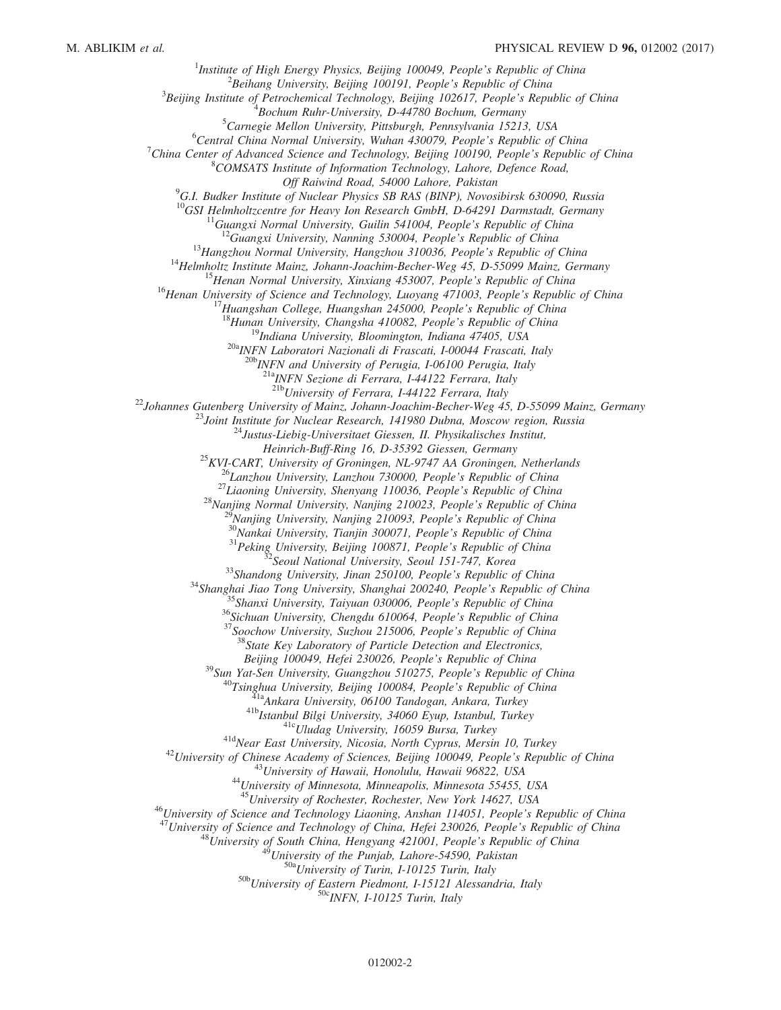<sup>1</sup>Institute of High Energy Physics, Beijing 100049, People's Republic of China  $\frac{2 \text{Poibang University}}{2}$  $B^2$ Beihang University, Beijing 100191, People's Republic of China  $3$ Beijing Institute of Petrochemical Technology, Beijing 102617, People's Republic of China  $B$ ochum Ruhr-University, D-44780 Bochum, Germany <sup>5</sup>Carnegie Mellon University, Pittsburgh, Pennsylvania 15213, USA  ${}^6$ Central China Normal University, Wuhan 430079, People's Republic of China <sup>7</sup>China Center of Advanced Science and Technology, Beijing 100190, People's Republic of China <sup>8</sup>COMSATS Institute of Information Technology, Lahore, Defence Road, Off Raiwind Road, 54000 Lahore, Pakistan<br><sup>9</sup>G.I. Budker Institute of Nuclear Physics SB RAS (BINP), Novosibirsk 630090, Russia <sup>10</sup>GSI Helmholtzcentre for Heavy Ion Research GmbH, D-64291 Darmstadt, Germany<br><sup>11</sup>Guangxi Normal University, Guilin 541004, People's Republic of China<br><sup>12</sup>Guangxi University, Nanning 530004, People's Republic of China<br><sup></sup>  $^{20b}$  INFN and University of Perugia, I-06100 Perugia, Italy  $^{21a}$ INFN Sezione di Ferrara, I-44122 Ferrara, Italy<br> $^{21b}$ University of Ferrara, I-44122 Ferrara, Italy <sup>22</sup>Johannes Gutenberg University of Mainz, Johann-Joachim-Becher-Weg 45, D-55099 Mainz, Germany<br><sup>23</sup>Joint Institute for Nuclear Research, 141980 Dubna, Moscow region, Russia<br><sup>24</sup>Justus-Liebig-Universitaet Giessen, II. Ph Heinrich-Buff-Ring 16, D-35392 Giessen, Germany<br>
<sup>25</sup>KVI-CART, University of Groningen, NL-9747 AA Groningen, Netherlands<br>
<sup>26</sup>Lanzhou University, Lanzhou 730000, People's Republic of China<br>
<sup>27</sup>Liaoning University, Shenya Beijing 100049, Hefei 230026, People's Republic of China<br>
<sup>39</sup>Sun Yat-Sen University, Guangzhou 510275, People's Republic of China<br>
<sup>40</sup>Tsinghua University, Beijing 100084, People's Republic of China<br>
<sup>418</sup>Istanbul Bilgi U <sup>46</sup>University of Science and Technology Liaoning, Anshan 114051, People's Republic of China<br><sup>47</sup>University of Science and Technology of China, Hefei 230026, People's Republic of China<br><sup>48</sup>University of South China, Hengy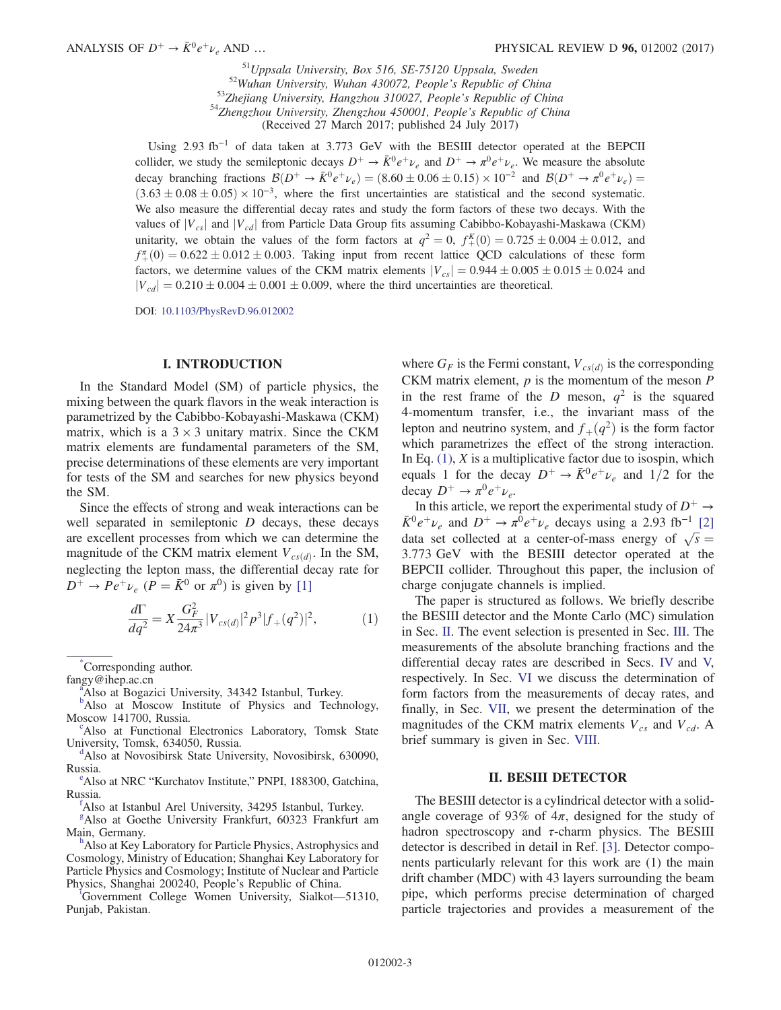$^{51}U$ ppsala University, Box 516, SE-75120 Uppsala, Sweden<br> $^{52}W$ uhan University, Wuhan 430072, People's Republic of China<br> $^{53}Z$ hejiang University, Hangzhou 310027, People's Republic of China<br> $^{54}Z$ hengzhou Universit (Received 27 March 2017; published 24 July 2017)

Using 2.93 fb<sup>-1</sup> of data taken at 3.773 GeV with the BESIII detector operated at the BEPCII collider, we study the semileptonic decays  $D^+ \to \bar{K}^0 e^+ \nu_e$  and  $D^+ \to \pi^0 e^+ \nu_e$ . We measure the absolute decay branching fractions  $\mathcal{B}(D^+ \to \bar{K}^0 e^+ \nu_e) = (8.60 \pm 0.06 \pm 0.15) \times 10^{-2}$  and  $\mathcal{B}(D^+ \to \pi^0 e^+ \nu_e) =$  $(3.63 \pm 0.08 \pm 0.05) \times 10^{-3}$ , where the first uncertainties are statistical and the second systematic. We also measure the differential decay rates and study the form factors of these two decays. With the values of  $|V_{cs}|$  and  $|V_{cd}|$  from Particle Data Group fits assuming Cabibbo-Kobayashi-Maskawa (CKM) unitarity, we obtain the values of the form factors at  $q^2 = 0$ ,  $f_+^K(0) = 0.725 \pm 0.004 \pm 0.012$ , and  $f_{+}^{(0)} = 0.622 \pm 0.012 \pm 0.003$ . Taking input from recent lattice QCD calculations of these form factors, we determine values of the CKM matrix elements  $|V_{cs}| = 0.944 \pm 0.005 \pm 0.015 \pm 0.024$  and  $|V_{cd}| = 0.210 \pm 0.004 \pm 0.001 \pm 0.009$ , where the third uncertainties are theoretical.

DOI: [10.1103/PhysRevD.96.012002](https://doi.org/10.1103/PhysRevD.96.012002)

#### I. INTRODUCTION

In the Standard Model (SM) of particle physics, the mixing between the quark flavors in the weak interaction is parametrized by the Cabibbo-Kobayashi-Maskawa (CKM) matrix, which is a  $3 \times 3$  unitary matrix. Since the CKM matrix elements are fundamental parameters of the SM, precise determinations of these elements are very important for tests of the SM and searches for new physics beyond the SM.

Since the effects of strong and weak interactions can be well separated in semileptonic  $D$  decays, these decays are excellent processes from which we can determine the magnitude of the CKM matrix element  $V_{cs(d)}$ . In the SM, neglecting the lepton mass, the differential decay rate for  $D^+ \rightarrow Pe^+\nu_e$  ( $P = \bar{K}^0$  or  $\pi^0$ ) is given by [\[1\]](#page-14-0)

<span id="page-2-9"></span>
$$
\frac{d\Gamma}{dq^2} = X \frac{G_F^2}{24\pi^3} |V_{cs(d)}|^2 p^3 |f_+(q^2)|^2, \tag{1}
$$

<span id="page-2-3"></span>[\\*](#page-0-0) Corresponding author.

<span id="page-2-8"></span><span id="page-2-1"></span><sup>a</sup>Also at Bogazici University, 34342 Istan[b](#page-0-2)ul, Turkey.<br><sup>b</sup>Also at Moscow Institute of Physics and Technology, Moscow 141700, Russia.

Also at Functional Electronics Laboratory, Tomsk State University, Tomsk, 634050, Russia.

<span id="page-2-0"></span>Also at Novosibirsk State University, Novosibirsk, 630090, Russia.

<span id="page-2-7"></span>Also at NRC "Kurchatov Institute," PNPI, 188300, Gatchina, Russia.

<span id="page-2-4"></span>Also at Istanbul Arel University, 34295 Istanbul, Turkey.

<span id="page-2-5"></span>[g](#page-0-6) Also at Goethe University Frankfurt, 60323 Frankfurt am Main, Germany.

<span id="page-2-2"></span>Also at Key Laboratory for Particle Physics, Astrophysics and Cosmology, Ministry of Education; Shanghai Key Laboratory for Particle Physics and Cosmology; Institute of Nuclear and Particle Phys[i](#page-0-8)cs, Shanghai 200240, People's Republic of China.

<span id="page-2-6"></span>Government College Women University, Sialkot—51310, Punjab, Pakistan.

where  $G_F$  is the Fermi constant,  $V_{cs(d)}$  is the corresponding CKM matrix element,  $p$  is the momentum of the meson  $P$ in the rest frame of the D meson,  $q^2$  is the squared 4-momentum transfer, i.e., the invariant mass of the lepton and neutrino system, and  $f_{+}(q^2)$  is the form factor which parametrizes the effect of the strong interaction. In Eq.  $(1)$ , X is a multiplicative factor due to isospin, which equals 1 for the decay  $D^+ \rightarrow \bar{K}^0 e^+ \nu_e$  and 1/2 for the decay  $D^+ \rightarrow \pi^0 e^+ \nu_e$ .

In this article, we report the experimental study of  $D^+ \rightarrow$  $\bar{K}^0 e^+ \nu_e$  and  $D^+ \rightarrow \pi^0 e^+ \nu_e$  decays using a 2.93 fb<sup>-1</sup> [\[2\]](#page-14-1) data set collected at a center-of-mass energy of  $\sqrt{s}$  = 3.773 GeV with the BESIII detector operated at the BEPCII collider. Throughout this paper, the inclusion of charge conjugate channels is implied.

The paper is structured as follows. We briefly describe the BESIII detector and the Monte Carlo (MC) simulation in Sec. [II.](#page-2-10) The event selection is presented in Sec. [III](#page-3-0). The measurements of the absolute branching fractions and the differential decay rates are described in Secs. [IV](#page-5-0) and [V,](#page-8-0) respectively. In Sec. [VI](#page-10-0) we discuss the determination of form factors from the measurements of decay rates, and finally, in Sec. [VII](#page-13-0), we present the determination of the magnitudes of the CKM matrix elements  $V_{cs}$  and  $V_{cd}$ . A brief summary is given in Sec. [VIII](#page-13-1).

#### II. BESIII DETECTOR

<span id="page-2-10"></span>The BESIII detector is a cylindrical detector with a solidangle coverage of 93% of  $4\pi$ , designed for the study of hadron spectroscopy and  $\tau$ -charm physics. The BESIII detector is described in detail in Ref. [\[3\]](#page-14-2). Detector components particularly relevant for this work are (1) the main drift chamber (MDC) with 43 layers surrounding the beam pipe, which performs precise determination of charged particle trajectories and provides a measurement of the

f[a](#page-0-1)ngy@ihep.ac.cn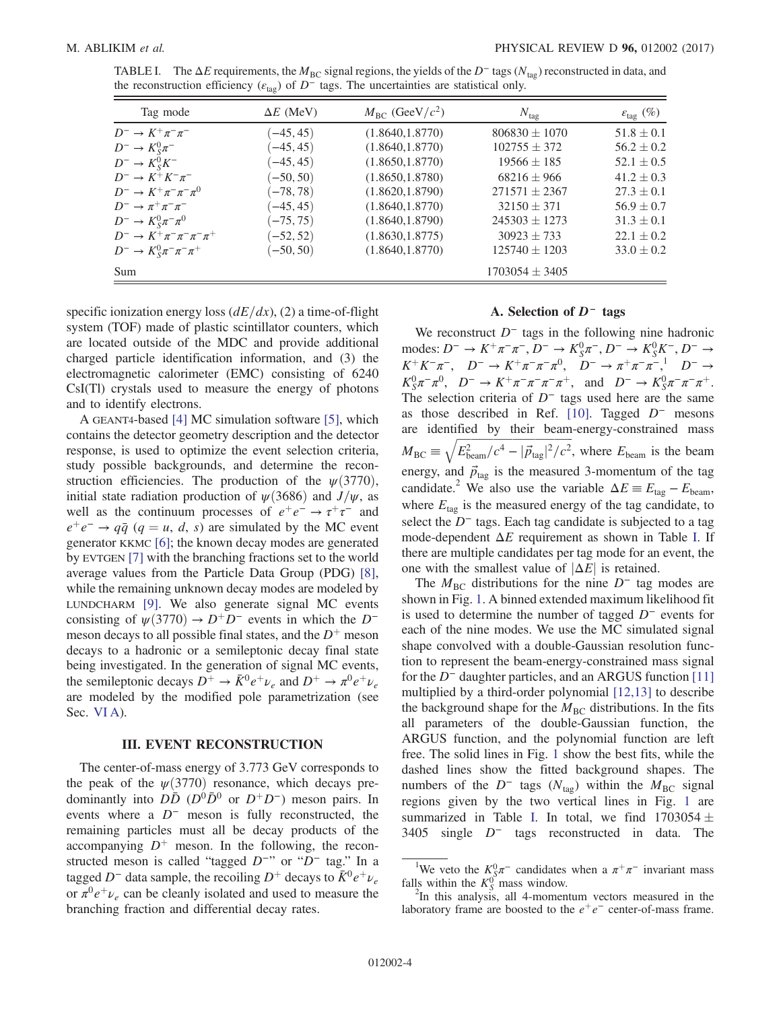<span id="page-3-1"></span>

| TABLE I. The $\Delta E$ requirements, the $M_{\rm BC}$ signal regions, the yields of the $D^-$ tags ( $N_{\rm tag}$ ) reconstructed in data, and |
|--------------------------------------------------------------------------------------------------------------------------------------------------|
| the reconstruction efficiency ( $\varepsilon_{\text{tag}}$ ) of $D^-$ tags. The uncertainties are statistical only.                              |

| Tag mode                                          | $\Delta E$ (MeV) | $M_{\rm BC}$ (GeeV/ $c^2$ ) | $N_{\text{tag}}$   | $\varepsilon_{\rm tag}$ (%) |
|---------------------------------------------------|------------------|-----------------------------|--------------------|-----------------------------|
| $D^{-} \to K^{+} \pi^{-} \pi^{-}$                 | $(-45, 45)$      | (1.8640, 1.8770)            | $806830 \pm 1070$  | $51.8 \pm 0.1$              |
| $D^- \rightarrow K_S^0 \pi^-$                     | $(-45, 45)$      | (1.8640, 1.8770)            | $102755 \pm 372$   | $56.2 \pm 0.2$              |
| $D^- \rightarrow K_S^0 K^-$                       | $(-45, 45)$      | (1.8650, 1.8770)            | $19566 \pm 185$    | $52.1 \pm 0.5$              |
| $D^{-} \to K^{+} K^{-} \pi^{-}$                   | $(-50, 50)$      | (1.8650, 1.8780)            | $68216 \pm 966$    | $41.2 \pm 0.3$              |
| $D^{-} \to K^{+} \pi^{-} \pi^{-} \pi^{0}$         | $(-78, 78)$      | (1.8620, 1.8790)            | $271571 \pm 2367$  | $27.3 \pm 0.1$              |
| $D^ \rightarrow \pi^+\pi^-\pi^-$                  | $(-45, 45)$      | (1.8640, 1.8770)            | $32150 \pm 371$    | $56.9 \pm 0.7$              |
| $D^{-} \to K_{S}^{0} \pi^{-} \pi^{0}$             | $(-75, 75)$      | (1.8640, 1.8790)            | $245303 \pm 1273$  | $31.3 \pm 0.1$              |
| $D^{-} \to K^{+} \pi^{-} \pi^{-} \pi^{-} \pi^{+}$ | $(-52, 52)$      | (1.8630, 1.8775)            | $30923 \pm 733$    | $22.1 \pm 0.2$              |
| $D^{-} \to K_{S}^{0} \pi^{-} \pi^{-} \pi^{+}$     | $(-50, 50)$      | (1.8640, 1.8770)            | $125740 \pm 1203$  | $33.0 \pm 0.2$              |
| Sum                                               |                  |                             | $1703054 \pm 3405$ |                             |

specific ionization energy loss  $\left(\frac{dE}{dx}\right)$ , (2) a time-of-flight system (TOF) made of plastic scintillator counters, which are located outside of the MDC and provide additional charged particle identification information, and (3) the electromagnetic calorimeter (EMC) consisting of 6240 CsI(Tl) crystals used to measure the energy of photons and to identify electrons.

A GEANT4-based [\[4\]](#page-14-3) MC simulation software [\[5\]](#page-14-4), which contains the detector geometry description and the detector response, is used to optimize the event selection criteria, study possible backgrounds, and determine the reconstruction efficiencies. The production of the  $\psi(3770)$ , initial state radiation production of  $\psi$ (3686) and  $J/\psi$ , as well as the continuum processes of  $e^+e^- \rightarrow \tau^+\tau^-$  and  $e^+e^- \rightarrow q\bar{q}$  (q = u, d, s) are simulated by the MC event generator KKMC [\[6\]](#page-14-5); the known decay modes are generated by EVTGEN [\[7\]](#page-14-6) with the branching fractions set to the world average values from the Particle Data Group (PDG) [\[8\]](#page-14-7), while the remaining unknown decay modes are modeled by LUNDCHARM [\[9\]](#page-14-8). We also generate signal MC events consisting of  $\psi(3770) \rightarrow D^+D^-$  events in which the D<sup>-</sup> meson decays to all possible final states, and the  $D^+$  meson decays to a hadronic or a semileptonic decay final state being investigated. In the generation of signal MC events, the semileptonic decays  $D^+ \to \bar{K}^0 e^+ \nu_e$  and  $D^+ \to \pi^0 e^+ \nu_e$ are modeled by the modified pole parametrization (see Sec. [VI A\)](#page-10-1).

#### III. EVENT RECONSTRUCTION

<span id="page-3-0"></span>The center-of-mass energy of 3.773 GeV corresponds to the peak of the  $\psi(3770)$  resonance, which decays predominantly into  $D\bar{D}$  ( $D^0\bar{D}^0$  or  $D^+D^-$ ) meson pairs. In events where a  $D^-$  meson is fully reconstructed, the remaining particles must all be decay products of the accompanying  $D^+$  meson. In the following, the reconstructed meson is called "tagged D<sup>−</sup>" or "D<sup>−</sup> tag." In a tagged D<sup>-</sup> data sample, the recoiling D<sup>+</sup> decays to  $\bar{K}^0 e^+ \nu_e$ or  $\pi^0 e^+ \nu_e$  can be cleanly isolated and used to measure the branching fraction and differential decay rates.

#### A. Selection of D<sup>−</sup> tags

<span id="page-3-2"></span>We reconstruct  $D^-$  tags in the following nine hadronic modes:  $D^-$  →  $K^+\pi^-\pi^-$ ,  $D^-$  →  $K_S^0\pi^-$ ,  $D^-$  →  $K_S^0K^-$ ,  $D^-$  →  $K^+K^-\pi^-$ ,  $D^- \to K^+\pi^-\pi^-\pi^0$ ,  $D^- \to \pi^+\pi^-\pi^-,$ <sup>1</sup>  $D^- \to$  $K_S^0 \pi^- \pi^0$ ,  $D^- \to K^+ \pi^- \pi^- \pi^- \pi^+$ , and  $D^- \to K_S^0 \pi^- \pi^- \pi^+$ . The selection criteria of  $D^-$  tags used here are the same as those described in Ref. [\[10\].](#page-14-9) Tagged  $D^-$  mesons are identified by their beam-energy-constrained mass  $M_{\text{BC}} \equiv \sqrt{E_{\text{beam}}^2/c^4 - |\vec{p}_{\text{tag}}|^2/c^2}$ , where  $E_{\text{beam}}$  is the beam energy, and  $\vec{p}_{\text{tag}}$  is the measured 3-momentum of the tag candidate.<sup>2</sup> We also use the variable  $\Delta E = E_{\text{tag}} - E_{\text{beam}}$ , where  $E_{\text{tag}}$  is the measured energy of the tag candidate, to select the  $D^-$  tags. Each tag candidate is subjected to a tag mode-dependent  $\Delta E$  requirement as shown in Table [I.](#page-3-1) If there are multiple candidates per tag mode for an event, the one with the smallest value of  $|\Delta E|$  is retained.

The  $M<sub>BC</sub>$  distributions for the nine D<sup>−</sup> tag modes are shown in Fig. [1](#page-4-0). A binned extended maximum likelihood fit is used to determine the number of tagged D<sup>−</sup> events for each of the nine modes. We use the MC simulated signal shape convolved with a double-Gaussian resolution function to represent the beam-energy-constrained mass signal for the D<sup>−</sup> daughter particles, and an ARGUS function [\[11\]](#page-14-10) multiplied by a third-order polynomial [\[12,13\]](#page-14-11) to describe the background shape for the  $M<sub>BC</sub>$  distributions. In the fits all parameters of the double-Gaussian function, the ARGUS function, and the polynomial function are left free. The solid lines in Fig. [1](#page-4-0) show the best fits, while the dashed lines show the fitted background shapes. The numbers of the  $D^-$  tags ( $N_{\text{tag}}$ ) within the  $M_{\text{BC}}$  signal regions given by the two vertical lines in Fig. [1](#page-4-0) are summarized in Table [I](#page-3-1). In total, we find  $1703054 \pm 0.0056$ 3405 single D<sup>−</sup> tags reconstructed in data. The

<sup>&</sup>lt;sup>1</sup>We veto the  $K_S^0 \pi^-$  candidates when a  $\pi^+ \pi^-$  invariant mass falls within the  $K_S^0$  mass window.

 $2$ In this analysis, all 4-momentum vectors measured in the laboratory frame are boosted to the  $e^+e^-$  center-of-mass frame.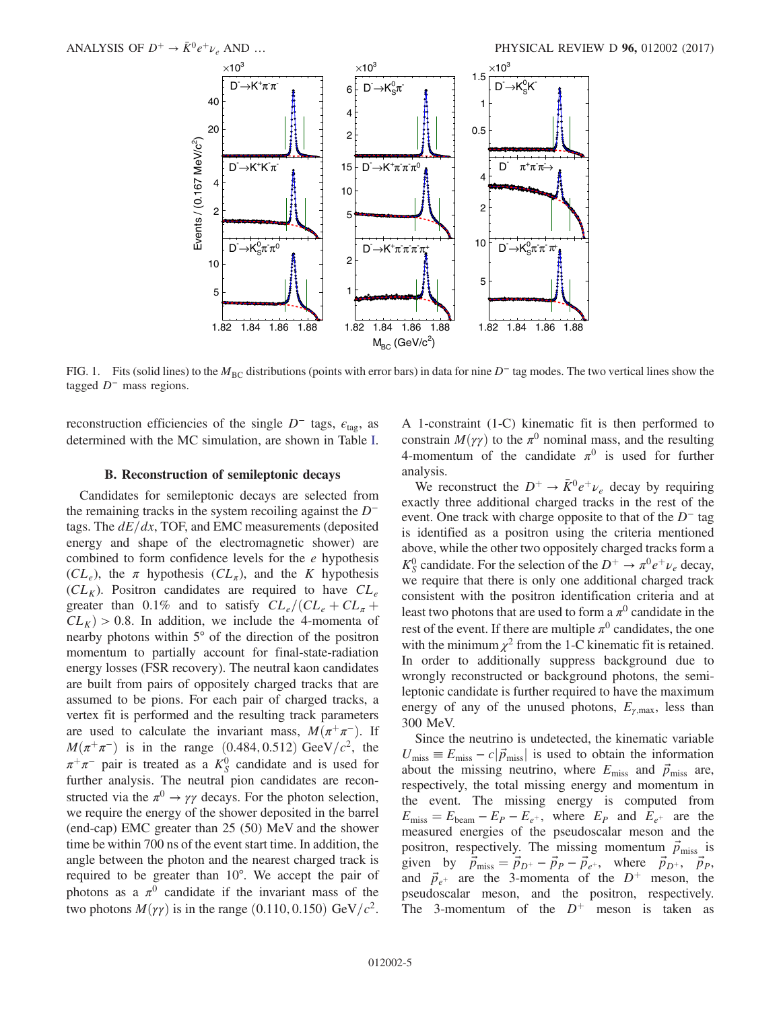<span id="page-4-0"></span>

FIG. 1. Fits (solid lines) to the  $M_{BC}$  distributions (points with error bars) in data for nine D<sup>−</sup> tag modes. The two vertical lines show the tagged  $D^-$  mass regions.

reconstruction efficiencies of the single  $D^-$  tags,  $\epsilon_{\text{tag}}$ , as determined with the MC simulation, are shown in Table [I](#page-3-1).

#### B. Reconstruction of semileptonic decays

<span id="page-4-1"></span>Candidates for semileptonic decays are selected from the remaining tracks in the system recoiling against the  $D^$ tags. The  $dE/dx$ , TOF, and EMC measurements (deposited energy and shape of the electromagnetic shower) are combined to form confidence levels for the  $e$  hypothesis  $CL_e$ , the  $\pi$  hypothesis  $CL_{\pi}$ , and the K hypothesis  $CL_K$ ). Positron candidates are required to have  $CL_e$ greater than 0.1% and to satisfy  $CL_e/(CL_e + CL_\pi +$  $CL_K$  > 0.8. In addition, we include the 4-momenta of nearby photons within 5° of the direction of the positron momentum to partially account for final-state-radiation energy losses (FSR recovery). The neutral kaon candidates are built from pairs of oppositely charged tracks that are assumed to be pions. For each pair of charged tracks, a vertex fit is performed and the resulting track parameters are used to calculate the invariant mass,  $M(\pi^+\pi^-)$ . If  $M(\pi^+\pi^-)$  is in the range (0.484, 0.512) GeeV/c<sup>2</sup>, the  $\pi^+\pi^-$  pair is treated as a  $K^0_S$  candidate and is used for further analysis. The neutral pion candidates are reconstructed via the  $\pi^0 \rightarrow \gamma \gamma$  decays. For the photon selection, we require the energy of the shower deposited in the barrel (end-cap) EMC greater than 25 (50) MeV and the shower time be within 700 ns of the event start time. In addition, the angle between the photon and the nearest charged track is required to be greater than 10°. We accept the pair of photons as a  $\pi^0$  candidate if the invariant mass of the two photons  $M(\gamma\gamma)$  is in the range (0.110, 0.150) GeV/ $c^2$ . A 1-constraint (1-C) kinematic fit is then performed to constrain  $M(\gamma\gamma)$  to the  $\pi^0$  nominal mass, and the resulting 4-momentum of the candidate  $\pi^0$  is used for further analysis.

We reconstruct the  $D^+ \rightarrow \bar{K}^0 e^+ \nu_e$  decay by requiring exactly three additional charged tracks in the rest of the event. One track with charge opposite to that of the  $D^-$  tag is identified as a positron using the criteria mentioned above, while the other two oppositely charged tracks form a  $K_S^0$  candidate. For the selection of the  $D^+ \to \pi^0 e^+ \nu_e$  decay, we require that there is only one additional charged track consistent with the positron identification criteria and at least two photons that are used to form a  $\pi^0$  candidate in the rest of the event. If there are multiple  $\pi^0$  candidates, the one with the minimum  $\chi^2$  from the 1-C kinematic fit is retained. In order to additionally suppress background due to wrongly reconstructed or background photons, the semileptonic candidate is further required to have the maximum energy of any of the unused photons,  $E_{\gamma,\text{max}}$ , less than 300 MeV.

Since the neutrino is undetected, the kinematic variable  $U_{\text{miss}} \equiv E_{\text{miss}} - c|\vec{p}_{\text{miss}}|$  is used to obtain the information about the missing neutrino, where  $E_{\text{miss}}$  and  $\vec{p}_{\text{miss}}$  are, respectively, the total missing energy and momentum in the event. The missing energy is computed from  $E_{\text{miss}} = E_{\text{beam}} - E_P - E_{e^+}$ , where  $E_P$  and  $E_{e^+}$  are the measured energies of the pseudoscalar meson and the positron, respectively. The missing momentum  $\vec{p}_{\text{miss}}$  is given by  $\vec{p}_{\text{miss}} = \vec{p}_{D^+} - \vec{p}_P - \vec{p}_{e^+}$ , where  $\vec{p}_{D^+}$ ,  $\vec{p}_P$ , and  $\vec{p}_{e^+}$  are the 3-momenta of the  $D^+$  meson, the pseudoscalar meson, and the positron, respectively. The 3-momentum of the  $D^+$  meson is taken as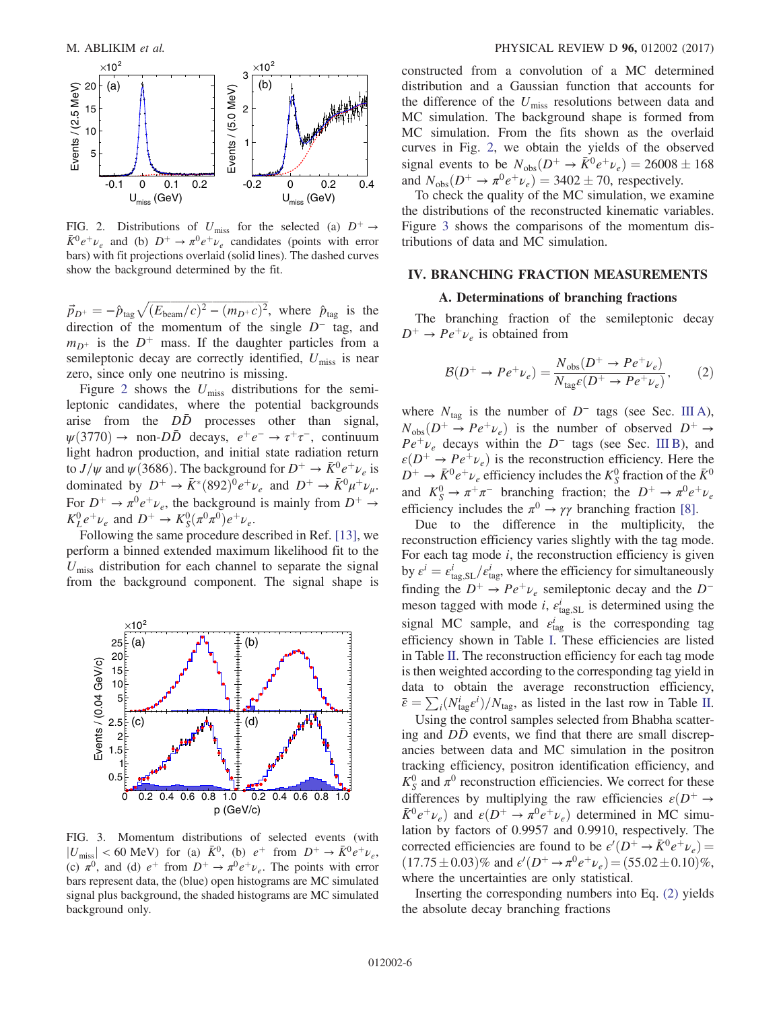<span id="page-5-1"></span>

FIG. 2. Distributions of  $U_{\text{miss}}$  for the selected (a)  $D^+ \rightarrow$  $\bar{K}^0 e^+ \nu_e$  and (b)  $D^+ \rightarrow \pi^0 e^+ \nu_e$  candidates (points with error bars) with fit projections overlaid (solid lines). The dashed curves show the background determined by the fit.

 $\vec{p}_{D^+} = -\hat{p}_{\text{tag}}\sqrt{(E_{\text{beam}}/c)^2 - (m_{D^+}c)^2}$ , where  $\hat{p}_{\text{tag}}$  is the direction of the momentum of the single  $D^-$  tag, and  $m_{D^+}$  is the  $D^+$  mass. If the daughter particles from a semileptonic decay are correctly identified,  $U_{\text{miss}}$  is near zero, since only one neutrino is missing.

Figure [2](#page-5-1) shows the  $U_{\text{miss}}$  distributions for the semileptonic candidates, where the potential backgrounds arise from the  $D\bar{D}$  processes other than signal,  $\psi(3770) \rightarrow$  non-DD<sup>†</sup> decays,  $e^+e^- \rightarrow \tau^+\tau^-$ , continuum light hadron production, and initial state radiation return to  $J/\psi$  and  $\psi$  (3686). The background for  $D^+ \to \bar{K}^0 e^+ \nu_e$  is dominated by  $D^+ \to \bar{K}^*(892)^0 e^+ \nu_e$  and  $D^+ \to \bar{K}^0 \mu^+ \nu_\mu$ . For  $D^+ \rightarrow \pi^0 e^+ \nu_e$ , the background is mainly from  $D^+ \rightarrow$  $K_L^0 e^+ \nu_e$  and  $D^+ \to K_S^0 (\pi^0 \pi^0) e^+ \nu_e$ .

Following the same procedure described in Ref. [\[13\],](#page-14-12) we perform a binned extended maximum likelihood fit to the  $U_{\text{miss}}$  distribution for each channel to separate the signal from the background component. The signal shape is

<span id="page-5-2"></span>

FIG. 3. Momentum distributions of selected events (with  $|U_{\text{miss}}|$  < 60 MeV) for (a)  $\bar{K}^0$ , (b)  $e^+$  from  $D^+ \rightarrow \bar{K}^0 e^+ \nu_e$ , (c)  $\pi^0$ , and (d)  $e^+$  from  $D^+ \to \pi^0 e^+ \nu_e$ . The points with error bars represent data, the (blue) open histograms are MC simulated signal plus background, the shaded histograms are MC simulated background only.

constructed from a convolution of a MC determined distribution and a Gaussian function that accounts for the difference of the  $U_{\text{miss}}$  resolutions between data and MC simulation. The background shape is formed from MC simulation. From the fits shown as the overlaid curves in Fig. [2](#page-5-1), we obtain the yields of the observed signal events to be  $N_{obs}(D^+ \rightarrow \bar{K}^0 e^+ \nu_e) = 26008 \pm 168$ and  $N_{obs}(D^+ \rightarrow \pi^0 e^+ \nu_e) = 3402 \pm 70$ , respectively.

To check the quality of the MC simulation, we examine the distributions of the reconstructed kinematic variables. Figure [3](#page-5-2) shows the comparisons of the momentum distributions of data and MC simulation.

#### <span id="page-5-0"></span>IV. BRANCHING FRACTION MEASUREMENTS

#### A. Determinations of branching fractions

<span id="page-5-3"></span>The branching fraction of the semileptonic decay  $D^+ \rightarrow Pe^+\nu_e$  is obtained from

$$
\mathcal{B}(D^+ \to Pe^+\nu_e) = \frac{N_{\text{obs}}(D^+ \to Pe^+\nu_e)}{N_{\text{tag}}\varepsilon(D^+ \to Pe^+\nu_e)},\tag{2}
$$

where  $N_{\text{tag}}$  is the number of  $D^-$  tags (see Sec. [III A](#page-3-2)),  $N_{\text{obs}}(D^+ \rightarrow Pe^+\nu_e)$  is the number of observed  $D^+ \rightarrow$  $Pe^+\nu_e$  decays within the D<sup>−</sup> tags (see Sec. [III B\)](#page-4-1), and  $\varepsilon(D^+ \to Pe^+\nu_e)$  is the reconstruction efficiency. Here the  $D^+ \to \bar{K}^0 e^+ \nu_e$  efficiency includes the  $K^0_S$  fraction of the  $\bar{K}^0$ and  $K_S^0 \to \pi^+ \pi^-$  branching fraction; the  $D^+ \to \pi^0 e^+ \nu_e$ efficiency includes the  $\pi^0 \rightarrow \gamma \gamma$  branching fraction [\[8\]](#page-14-7).

Due to the difference in the multiplicity, the reconstruction efficiency varies slightly with the tag mode. For each tag mode  $i$ , the reconstruction efficiency is given by  $\varepsilon^i = \varepsilon_{\text{tag,SL}}^i / \varepsilon_{\text{tag}}^i$ , where the efficiency for simultaneously finding the  $D^+ \rightarrow Pe^+\nu_e$  semileptonic decay and the D<sup>−</sup> meson tagged with mode *i*,  $\epsilon_{\text{tag,SL}}^i$  is determined using the signal MC sample, and  $\varepsilon_{\text{tag}}^i$  is the corresponding tag efficiency shown in Table [I.](#page-3-1) These efficiencies are listed in Table [II.](#page-6-0) The reconstruction efficiency for each tag mode is then weighted according to the corresponding tag yield in data to obtain the average reconstruction efficiency,  $\bar{\varepsilon} = \sum_i (N_{\text{tag}}^i \varepsilon^i) / N_{\text{tag}}$ , as listed in the last row in Table [II](#page-6-0).

Using the control samples selected from Bhabha scattering and  $D\bar{D}$  events, we find that there are small discrepancies between data and MC simulation in the positron tracking efficiency, positron identification efficiency, and  $K_S^0$  and  $\pi^0$  reconstruction efficiencies. We correct for these differences by multiplying the raw efficiencies  $\varepsilon(D^+ \rightarrow$  $\bar{K}^0 e^+ \nu_e$ ) and  $\varepsilon(D^+ \to \pi^0 e^+ \nu_e)$  determined in MC simulation by factors of 0.9957 and 0.9910, respectively. The corrected efficiencies are found to be  $\epsilon'(D^+ \to \bar{K}^0 e^+ \nu_e)$  $(17.75 \pm 0.03)\%$  and  $\epsilon'(D^+ \rightarrow \pi^0 e^+ \nu_e) = (55.02 \pm 0.10)\%$ , where the uncertainties are only statistical.

Inserting the corresponding numbers into Eq. [\(2\)](#page-5-3) yields the absolute decay branching fractions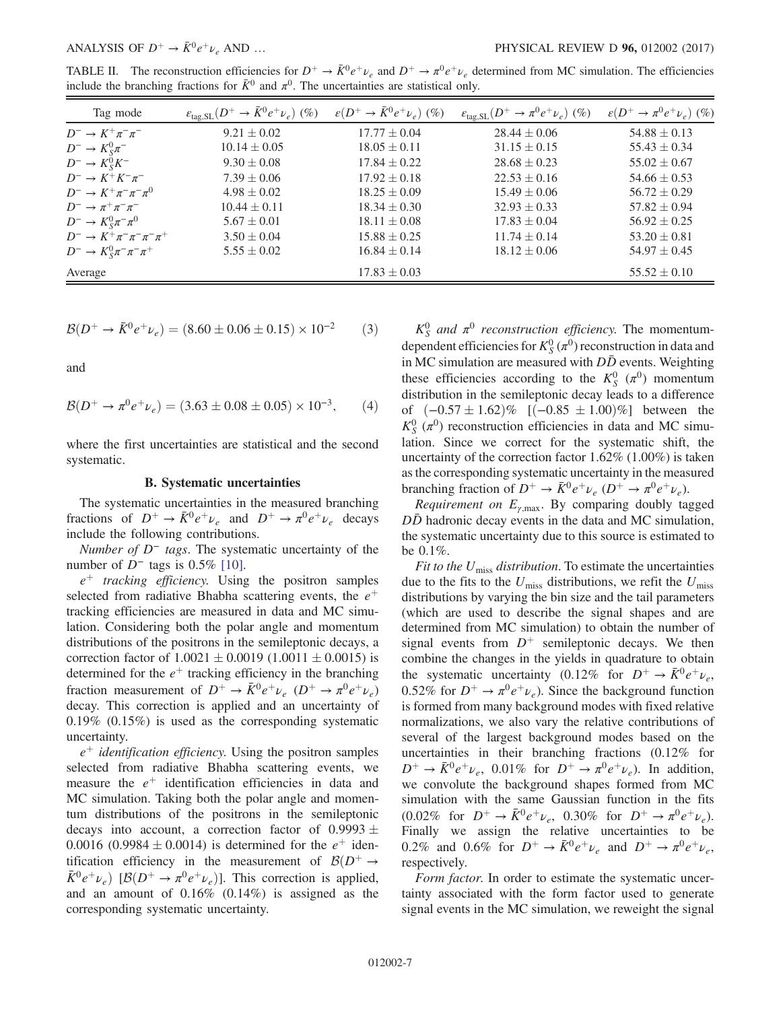<span id="page-6-0"></span>TABLE II. The reconstruction efficiencies for  $D^+ \to \bar{K}^0 e^+ \nu_e$  and  $D^+ \to \pi^0 e^+ \nu_e$  determined from MC simulation. The efficiencies include the branching fractions for  $\bar{K}^0$  and  $\pi^0$ . The uncertainties are statistical only.

| Tag mode                                          | $\varepsilon_{\rm tag, SL}(D^+ \to \bar{K}^0 e^+ \nu_e)$ (%) | $\varepsilon(D^+ \to \bar{K}^0 e^+ \nu_e)$ (%) | $\varepsilon_{\text{tag,SL}}(D^+ \to \pi^0 e^+ \nu_e)$ (%) | $\varepsilon(D^+ \to \pi^0 e^+ \nu_e)$ (%) |
|---------------------------------------------------|--------------------------------------------------------------|------------------------------------------------|------------------------------------------------------------|--------------------------------------------|
| $D^{-} \to K^{+} \pi^{-} \pi^{-}$                 | $9.21 \pm 0.02$                                              | $17.77 \pm 0.04$                               | $28.44 \pm 0.06$                                           | $54.88 \pm 0.13$                           |
| $D^- \rightarrow K_S^0 \pi^-$                     | $10.14 \pm 0.05$                                             | $18.05 \pm 0.11$                               | $31.15 \pm 0.15$                                           | $55.43 \pm 0.34$                           |
| $D^- \rightarrow K_S^0 K^-$                       | $9.30 \pm 0.08$                                              | $17.84 \pm 0.22$                               | $28.68 \pm 0.23$                                           | $55.02 \pm 0.67$                           |
| $D^{-} \to K^{+} K^{-} \pi^{-}$                   | $7.39 \pm 0.06$                                              | $17.92 \pm 0.18$                               | $22.53 \pm 0.16$                                           | $54.66 \pm 0.53$                           |
| $D^{-} \to K^{+} \pi^{-} \pi^{-} \pi^{0}$         | $4.98 \pm 0.02$                                              | $18.25 \pm 0.09$                               | $15.49 \pm 0.06$                                           | $56.72 \pm 0.29$                           |
| $D^{-} \to \pi^{+} \pi^{-} \pi^{-}$               | $10.44 \pm 0.11$                                             | $18.34 \pm 0.30$                               | $32.93 \pm 0.33$                                           | $57.82 \pm 0.94$                           |
| $D^{-} \to K_{S}^{0} \pi^{-} \pi^{0}$             | $5.67 \pm 0.01$                                              | $18.11 \pm 0.08$                               | $17.83 \pm 0.04$                                           | $56.92 \pm 0.25$                           |
| $D^{-} \to K^{+} \pi^{-} \pi^{-} \pi^{-} \pi^{+}$ | $3.50 \pm 0.04$                                              | $15.88 \pm 0.25$                               | $11.74 \pm 0.14$                                           | $53.20 \pm 0.81$                           |
| $D^{-} \to K_{S}^{0} \pi^{-} \pi^{-} \pi^{+}$     | $5.55 \pm 0.02$                                              | $16.84 \pm 0.14$                               | $18.12 \pm 0.06$                                           | $54.97 \pm 0.45$                           |
| Average                                           |                                                              | $17.83 \pm 0.03$                               |                                                            | $55.52 \pm 0.10$                           |

$$
\mathcal{B}(D^+ \to \bar{K}^0 e^+ \nu_e) = (8.60 \pm 0.06 \pm 0.15) \times 10^{-2} \tag{3}
$$

and

$$
\mathcal{B}(D^+ \to \pi^0 e^+ \nu_e) = (3.63 \pm 0.08 \pm 0.05) \times 10^{-3},\qquad (4)
$$

where the first uncertainties are statistical and the second systematic.

#### B. Systematic uncertainties

The systematic uncertainties in the measured branching fractions of  $D^+ \to \bar{K}^0 e^+ \nu_e$  and  $D^+ \to \pi^0 e^+ \nu_e$  decays include the following contributions.

Number of D<sup>−</sup> tags. The systematic uncertainty of the number of  $D^-$  tags is 0.5% [\[10\].](#page-14-9)

 $e^+$  tracking efficiency. Using the positron samples selected from radiative Bhabha scattering events, the  $e^+$ tracking efficiencies are measured in data and MC simulation. Considering both the polar angle and momentum distributions of the positrons in the semileptonic decays, a correction factor of  $1.0021 \pm 0.0019$   $(1.0011 \pm 0.0015)$  is determined for the  $e^+$  tracking efficiency in the branching fraction measurement of  $D^+ \to \bar{K}^0 e^+ \nu_e (D^+ \to \pi^0 e^+ \nu_e)$ decay. This correction is applied and an uncertainty of 0.19% (0.15%) is used as the corresponding systematic uncertainty.

 $e^+$  identification efficiency. Using the positron samples selected from radiative Bhabha scattering events, we measure the  $e^+$  identification efficiencies in data and MC simulation. Taking both the polar angle and momentum distributions of the positrons in the semileptonic decays into account, a correction factor of  $0.9993 \pm$ 0.0016 (0.9984  $\pm$  0.0014) is determined for the  $e^+$  identification efficiency in the measurement of  $\mathcal{B}(D^+ \rightarrow$  $\bar{K}^0 e^+ \nu_e$ )  $[\mathcal{B}(D^+ \to \pi^0 e^+ \nu_e)]$ . This correction is applied, and an amount of 0.16% (0.14%) is assigned as the corresponding systematic uncertainty.

 $K_S^0$  and  $\pi^0$  reconstruction efficiency. The momentumdependent efficiencies for  $K_S^0(\pi^0)$  reconstruction in data and in MC simulation are measured with  $D\bar{D}$  events. Weighting these efficiencies according to the  $K_S^0(\pi^0)$  momentum distribution in the semileptonic decay leads to a difference of  $(-0.57 \pm 1.62)$ % [ $(-0.85 \pm 1.00)$ %] between the  $K_S^0$  ( $\pi^0$ ) reconstruction efficiencies in data and MC simulation. Since we correct for the systematic shift, the uncertainty of the correction factor 1.62% (1.00%) is taken as the corresponding systematic uncertainty in the measured branching fraction of  $D^+ \to \bar{K}^0 e^+ \nu_e (D^+ \to \pi^0 e^+ \nu_e)$ .

*Requirement on*  $E_{\gamma, \text{max}}$ . By comparing doubly tagged  $DD$  hadronic decay events in the data and MC simulation, the systematic uncertainty due to this source is estimated to be 0.1%.

Fit to the  $U_{\text{miss}}$  distribution. To estimate the uncertainties due to the fits to the  $U_{\text{miss}}$  distributions, we refit the  $U_{\text{miss}}$ distributions by varying the bin size and the tail parameters (which are used to describe the signal shapes and are determined from MC simulation) to obtain the number of signal events from  $D^+$  semileptonic decays. We then combine the changes in the yields in quadrature to obtain the systematic uncertainty (0.12% for  $D^+ \rightarrow \bar{K}^0 e^+ \nu_e$ , 0.52% for  $D^+ \rightarrow \pi^0 e^+ \nu_e$ ). Since the background function is formed from many background modes with fixed relative normalizations, we also vary the relative contributions of several of the largest background modes based on the uncertainties in their branching fractions (0.12% for  $D^+ \rightarrow \bar{K}^0 e^+ \nu_e$ , 0.01% for  $D^+ \rightarrow \pi^0 e^+ \nu_e$ ). In addition, we convolute the background shapes formed from MC simulation with the same Gaussian function in the fits  $(0.02\% \text{ for } D^+ \to \bar{K}^0 e^+ \nu_e, 0.30\% \text{ for } D^+ \to \pi^0 e^+ \nu_e).$ Finally we assign the relative uncertainties to be 0.2% and 0.6% for  $D^+ \rightarrow \bar{K}^0 e^+ \nu_e$  and  $D^+ \rightarrow \pi^0 e^+ \nu_e$ , respectively.

Form factor. In order to estimate the systematic uncertainty associated with the form factor used to generate signal events in the MC simulation, we reweight the signal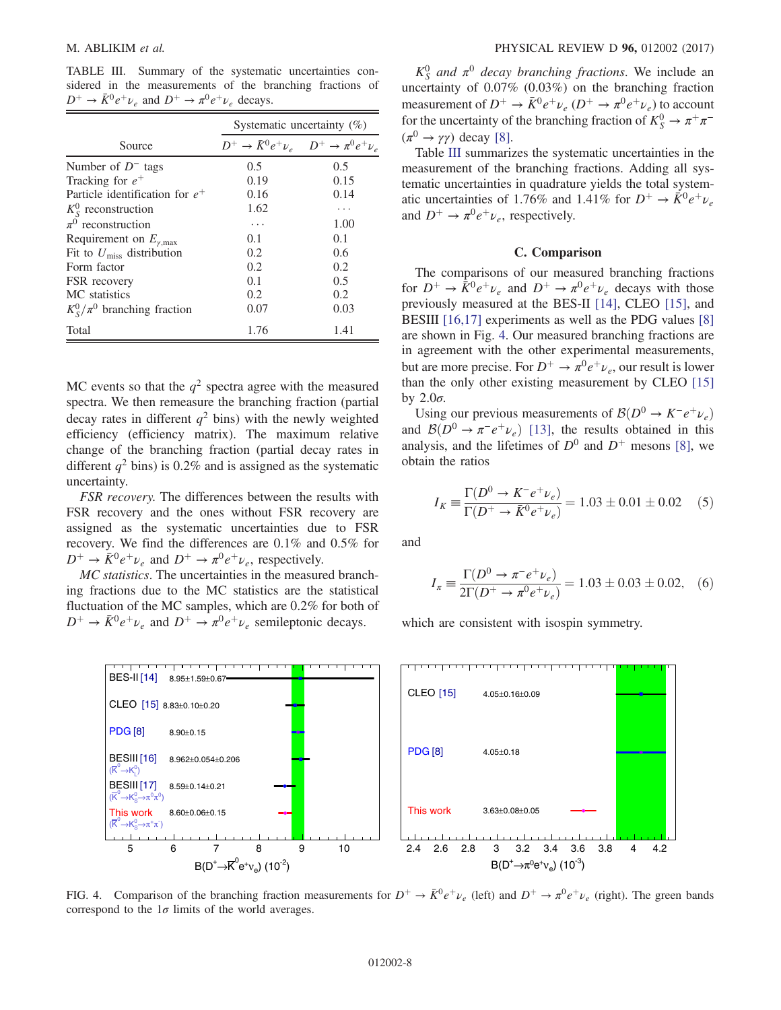<span id="page-7-0"></span>TABLE III. Summary of the systematic uncertainties considered in the measurements of the branching fractions of  $D^+ \rightarrow \bar{K}^0 e^+ \nu_e$  and  $D^+ \rightarrow \pi^0 e^+ \nu_e$  decays.

|                                         | Systematic uncertainty $(\%)$                               |      |  |  |  |
|-----------------------------------------|-------------------------------------------------------------|------|--|--|--|
| Source                                  | $D^+ \to \bar{K}^0 e^+ \nu_e \quad D^+ \to \pi^0 e^+ \nu_e$ |      |  |  |  |
| Number of $D^-$ tags                    | 0.5                                                         | 0.5  |  |  |  |
| Tracking for $e^+$                      | 0.19                                                        | 0.15 |  |  |  |
| Particle identification for $e^+$       | 0.16                                                        | 0.14 |  |  |  |
| $K_{\rm S}^0$ reconstruction            | 1.62                                                        | .    |  |  |  |
| $\pi^0$ reconstruction                  | .                                                           | 1.00 |  |  |  |
| Requirement on $E_{\gamma, \text{max}}$ | 0.1                                                         | 0.1  |  |  |  |
| Fit to $U_{\rm miss}$ distribution      | 0.2                                                         | 0.6  |  |  |  |
| Form factor                             | 0.2                                                         | 0.2  |  |  |  |
| FSR recovery                            | 0.1                                                         | 0.5  |  |  |  |
| MC statistics                           | 0.2                                                         | 0.2  |  |  |  |
| $K_S^0/\pi^0$ branching fraction        | 0.07                                                        | 0.03 |  |  |  |
| Total                                   | 1.76                                                        | 1.41 |  |  |  |

MC events so that the  $q^2$  spectra agree with the measured spectra. We then remeasure the branching fraction (partial decay rates in different  $q^2$  bins) with the newly weighted efficiency (efficiency matrix). The maximum relative change of the branching fraction (partial decay rates in different  $q^2$  bins) is 0.2% and is assigned as the systematic uncertainty.

FSR recovery. The differences between the results with FSR recovery and the ones without FSR recovery are assigned as the systematic uncertainties due to FSR recovery. We find the differences are 0.1% and 0.5% for  $D^+ \rightarrow \bar{K}^0 e^+ \nu_e$  and  $D^+ \rightarrow \pi^0 e^+ \nu_e$ , respectively.

MC statistics. The uncertainties in the measured branching fractions due to the MC statistics are the statistical fluctuation of the MC samples, which are 0.2% for both of  $D^+ \rightarrow \bar{K}^0 e^+ \nu_e$  and  $D^+ \rightarrow \pi^0 e^+ \nu_e$  semileptonic decays.

<span id="page-7-1"></span>

 $K_S^0$  and  $\pi^0$  decay branching fractions. We include an uncertainty of 0.07% (0.03%) on the branching fraction measurement of  $D^+ \to \bar{K}^0 e^+ \nu_e (D^+ \to \pi^0 e^+ \nu_e)$  to account for the uncertainty of the branching fraction of  $K^0_S \to \pi^+\pi^ (\pi^0 \rightarrow \gamma \gamma)$  decay [\[8\]](#page-14-7).

Table [III](#page-7-0) summarizes the systematic uncertainties in the measurement of the branching fractions. Adding all systematic uncertainties in quadrature yields the total systematic uncertainties of 1.76% and 1.41% for  $D^+ \rightarrow \bar{K}^0 e^+ \nu_e$ and  $D^+ \rightarrow \pi^0 e^+ \nu_e$ , respectively.

# C. Comparison

The comparisons of our measured branching fractions for  $D^+ \to \bar{K}^0 e^+ \nu_e$  and  $D^+ \to \pi^0 e^+ \nu_e$  decays with those previously measured at the BES-II [\[14\],](#page-14-13) CLEO [\[15\],](#page-14-14) and BESIII [\[16,17\]](#page-14-15) experiments as well as the PDG values [\[8\]](#page-14-7) are shown in Fig. [4](#page-7-1). Our measured branching fractions are in agreement with the other experimental measurements, but are more precise. For  $D^+ \to \pi^0 e^+ \nu_e$ , our result is lower than the only other existing measurement by CLEO [\[15\]](#page-14-14) by  $2.0\sigma$ .

Using our previous measurements of  $\mathcal{B}(D^0 \to K^-e^+\nu_e)$ and  $\mathcal{B}(D^0 \to \pi^- e^+ \nu_e)$  [\[13\]](#page-14-12), the results obtained in this analysis, and the lifetimes of  $D^0$  and  $D^+$  mesons [\[8\],](#page-14-7) we obtain the ratios

$$
I_K \equiv \frac{\Gamma(D^0 \to K^- e^+ \nu_e)}{\Gamma(D^+ \to \bar{K}^0 e^+ \nu_e)} = 1.03 \pm 0.01 \pm 0.02 \quad (5)
$$

and

$$
I_{\pi} \equiv \frac{\Gamma(D^0 \to \pi^- e^+ \nu_e)}{2\Gamma(D^+ \to \pi^0 e^+ \nu_e)} = 1.03 \pm 0.03 \pm 0.02,\quad (6)
$$

which are consistent with isospin symmetry.

FIG. 4. Comparison of the branching fraction measurements for  $D^+ \to \bar{K}^0 e^+ \nu_e$  (left) and  $D^+ \to \pi^0 e^+ \nu_e$  (right). The green bands correspond to the  $1\sigma$  limits of the world averages.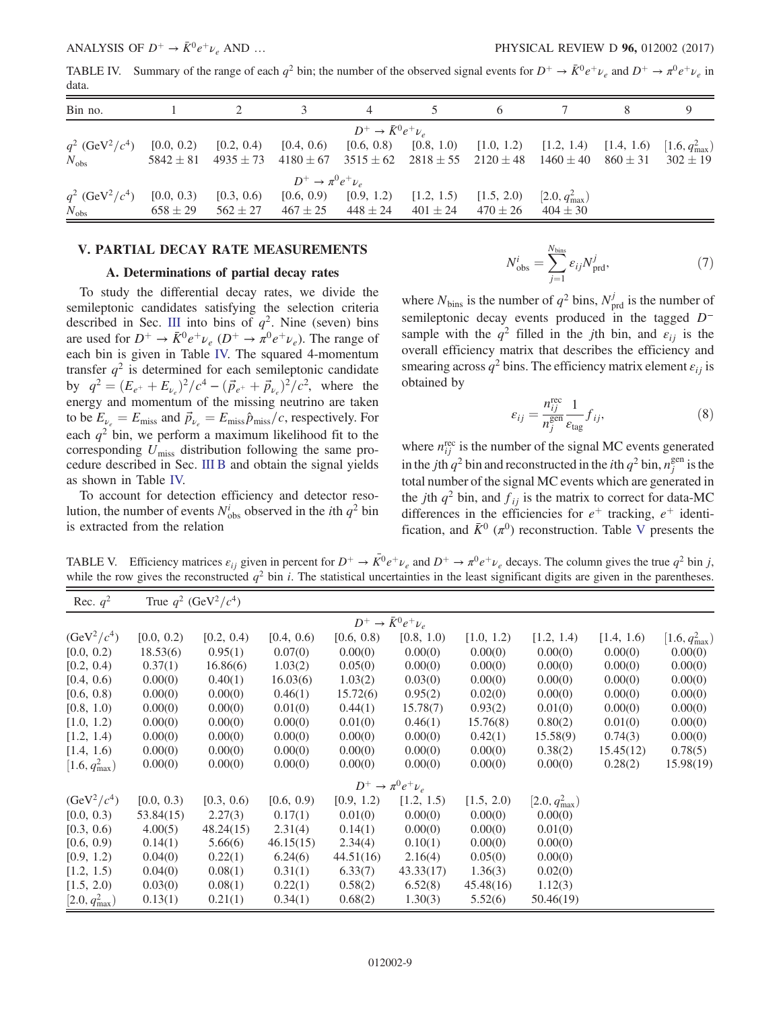<span id="page-8-1"></span>TABLE IV. Summary of the range of each  $q^2$  bin; the number of the observed signal events for  $D^+ \to \bar{K}^0 e^+ \nu_e$  and  $D^+ \to \pi^0 e^+ \nu_e$  in data.

| Bin no.                           |              |              |                       |                                                                                                                             |  |                           |  |
|-----------------------------------|--------------|--------------|-----------------------|-----------------------------------------------------------------------------------------------------------------------------|--|---------------------------|--|
|                                   |              |              |                       | $D^+ \rightarrow \bar{K}^0 e^+ \nu_e$                                                                                       |  |                           |  |
| $q^2$ (GeV <sup>2</sup> / $c^4$ ) | [0.0, 0.2)   | [0.2, 0.4)   |                       | $[0.4, 0.6)$ $[0.6, 0.8)$ $[0.8, 1.0)$ $[1.0, 1.2)$ $[1.2, 1.4)$ $[1.4, 1.6)$ $[1.6, qmax2)$                                |  |                           |  |
| $N_{\rm obs}$                     |              |              |                       | $5842 \pm 81$ $4935 \pm 73$ $4180 \pm 67$ $3515 \pm 62$ $2818 \pm 55$ $2120 \pm 48$ $1460 \pm 40$ $860 \pm 31$ $302 \pm 19$ |  |                           |  |
|                                   |              |              | $D^+\to\pi^0e^+\nu_e$ |                                                                                                                             |  |                           |  |
| $q^2$ (GeV <sup>2</sup> / $c^4$ ) | [0.0, 0.3)   | [0.3, 0.6]   |                       | $[0.6, 0.9)$ $[0.9, 1.2)$ $[1.2, 1.5)$ $[1.5, 2.0)$                                                                         |  | $[2.0, q_{\text{max}}^2]$ |  |
| $N_{\rm obs}$                     | $658 \pm 29$ | $562 \pm 27$ |                       | $467 \pm 25$ $448 \pm 24$ $401 \pm 24$ $470 \pm 26$                                                                         |  | $404 \pm 30$              |  |

#### <span id="page-8-0"></span>V. PARTIAL DECAY RATE MEASUREMENTS

#### A. Determinations of partial decay rates

To study the differential decay rates, we divide the semileptonic candidates satisfying the selection criteria described in Sec. [III](#page-3-0) into bins of  $q^2$ . Nine (seven) bins are used for  $D^+ \to \bar{K}^0 e^+ \nu_e (D^+ \to \pi^0 e^+ \nu_e)$ . The range of each bin is given in Table [IV.](#page-8-1) The squared 4-momentum transfer  $q^2$  is determined for each semileptonic candidate by  $q^2 = (E_{e^+} + E_{\nu_e})^2 / c^4 - (\vec{p}_{e^+} + \vec{p}_{\nu_e})^2 / c^2$ , where the energy and momentum of the missing neutrino are taken to be  $E_{\nu_e} = E_{\text{miss}}$  and  $\vec{p}_{\nu_e} = E_{\text{miss}} \hat{p}_{\text{miss}}/c$ , respectively. For each  $q^2$  bin, we perform a maximum likelihood fit to the corresponding  $U_{\text{miss}}$  distribution following the same procedure described in Sec. [III B](#page-4-1) and obtain the signal yields as shown in Table [IV.](#page-8-1)

<span id="page-8-3"></span>To account for detection efficiency and detector resolution, the number of events  $N_{\text{obs}}^i$  observed in the *i*th  $q^2$  bin is extracted from the relation

$$
N_{\rm obs}^i = \sum_{j=1}^{N_{\rm bins}} \varepsilon_{ij} N_{\rm prd}^j,\tag{7}
$$

where  $N_{\text{bins}}$  is the number of  $q^2$  bins,  $N_{\text{prd}}^j$  is the number of semileptonic decay events produced in the tagged D<sup>−</sup> sample with the  $q^2$  filled in the jth bin, and  $\varepsilon_{ij}$  is the overall efficiency matrix that describes the efficiency and smearing across  $q^2$  bins. The efficiency matrix element  $\varepsilon_{ii}$  is obtained by

$$
\varepsilon_{ij} = \frac{n_{ij}^{\text{rec}}}{n_j^{\text{gen}}} \frac{1}{\varepsilon_{\text{tag}}} f_{ij},\tag{8}
$$

where  $n_{ij}^{\text{rec}}$  is the number of the signal MC events generated in the *j*th  $q^2$  bin and reconstructed in the *i*th  $q^2$  bin,  $n_j^{\text{gen}}$  is the total number of the signal MC events which are generated in the jth  $q^2$  bin, and  $f_{ij}$  is the matrix to correct for data-MC differences in the efficiencies for  $e^+$  tracking,  $e^+$  identification, and  $\bar{K}^0$  ( $\pi^0$ ) reconstruction. Table [V](#page-8-2) presents the

<span id="page-8-2"></span>TABLE V. Efficiency matrices  $\varepsilon_{ij}$  given in percent for  $D^+ \to \overline{K}^0 e^+ \nu_e$  and  $D^+ \to \pi^0 e^+ \nu_e$  decays. The column gives the true  $q^2$  bin j, while the row gives the reconstructed  $q^2$  bin i. The statistical uncertainties in the least significant digits are given in the parentheses.

| Rec. $q^2$                |            | True $q^2$ (GeV <sup>2</sup> / $c^4$ ) |            |            |                                       |            |                           |            |                           |
|---------------------------|------------|----------------------------------------|------------|------------|---------------------------------------|------------|---------------------------|------------|---------------------------|
|                           |            |                                        |            |            | $D^+ \rightarrow \bar{K}^0 e^+ \nu_e$ |            |                           |            |                           |
| $(GeV^2/c^4)$             | [0.0, 0.2) | [0.2, 0.4)                             | [0.4, 0.6) | [0.6, 0.8) | [0.8, 1.0)                            | [1.0, 1.2) | [1.2, 1.4]                | [1.4, 1.6] | $[1.6, q_{\text{max}}^2)$ |
| [0.0, 0.2)                | 18.53(6)   | 0.95(1)                                | 0.07(0)    | 0.00(0)    | 0.00(0)                               | 0.00(0)    | 0.00(0)                   | 0.00(0)    | 0.00(0)                   |
| [0.2, 0.4)                | 0.37(1)    | 16.86(6)                               | 1.03(2)    | 0.05(0)    | 0.00(0)                               | 0.00(0)    | 0.00(0)                   | 0.00(0)    | 0.00(0)                   |
| [0.4, 0.6]                | 0.00(0)    | 0.40(1)                                | 16.03(6)   | 1.03(2)    | 0.03(0)                               | 0.00(0)    | 0.00(0)                   | 0.00(0)    | 0.00(0)                   |
| [0.6, 0.8)                | 0.00(0)    | 0.00(0)                                | 0.46(1)    | 15.72(6)   | 0.95(2)                               | 0.02(0)    | 0.00(0)                   | 0.00(0)    | 0.00(0)                   |
| [0.8, 1.0)                | 0.00(0)    | 0.00(0)                                | 0.01(0)    | 0.44(1)    | 15.78(7)                              | 0.93(2)    | 0.01(0)                   | 0.00(0)    | 0.00(0)                   |
| [1.0, 1.2)                | 0.00(0)    | 0.00(0)                                | 0.00(0)    | 0.01(0)    | 0.46(1)                               | 15.76(8)   | 0.80(2)                   | 0.01(0)    | 0.00(0)                   |
| [1.2, 1.4]                | 0.00(0)    | 0.00(0)                                | 0.00(0)    | 0.00(0)    | 0.00(0)                               | 0.42(1)    | 15.58(9)                  | 0.74(3)    | 0.00(0)                   |
| [1.4, 1.6]                | 0.00(0)    | 0.00(0)                                | 0.00(0)    | 0.00(0)    | 0.00(0)                               | 0.00(0)    | 0.38(2)                   | 15.45(12)  | 0.78(5)                   |
| $[1.6, q_{\text{max}}^2)$ | 0.00(0)    | 0.00(0)                                | 0.00(0)    | 0.00(0)    | 0.00(0)                               | 0.00(0)    | 0.00(0)                   | 0.28(2)    | 15.98(19)                 |
|                           |            |                                        |            |            | $D^+\to\pi^0e^+\nu_e$                 |            |                           |            |                           |
| $(GeV^2/c^4)$             | [0.0, 0.3) | [0.3, 0.6)                             | [0.6, 0.9) | [0.9, 1.2) | [1.2, 1.5)                            | [1.5, 2.0) | $[2.0, q_{\text{max}}^2]$ |            |                           |
| [0.0, 0.3)                | 53.84(15)  | 2.27(3)                                | 0.17(1)    | 0.01(0)    | 0.00(0)                               | 0.00(0)    | 0.00(0)                   |            |                           |
| [0.3, 0.6]                | 4.00(5)    | 48.24(15)                              | 2.31(4)    | 0.14(1)    | 0.00(0)                               | 0.00(0)    | 0.01(0)                   |            |                           |
| [0.6, 0.9]                | 0.14(1)    | 5.66(6)                                | 46.15(15)  | 2.34(4)    | 0.10(1)                               | 0.00(0)    | 0.00(0)                   |            |                           |
| [0.9, 1.2)                | 0.04(0)    | 0.22(1)                                | 6.24(6)    | 44.51(16)  | 2.16(4)                               | 0.05(0)    | 0.00(0)                   |            |                           |
| [1.2, 1.5]                | 0.04(0)    | 0.08(1)                                | 0.31(1)    | 6.33(7)    | 43.33(17)                             | 1.36(3)    | 0.02(0)                   |            |                           |
| [1.5, 2.0]                | 0.03(0)    | 0.08(1)                                | 0.22(1)    | 0.58(2)    | 6.52(8)                               | 45.48(16)  | 1.12(3)                   |            |                           |
| $[2.0, q_{\text{max}}^2]$ | 0.13(1)    | 0.21(1)                                | 0.34(1)    | 0.68(2)    | 1.30(3)                               | 5.52(6)    | 50.46(19)                 |            |                           |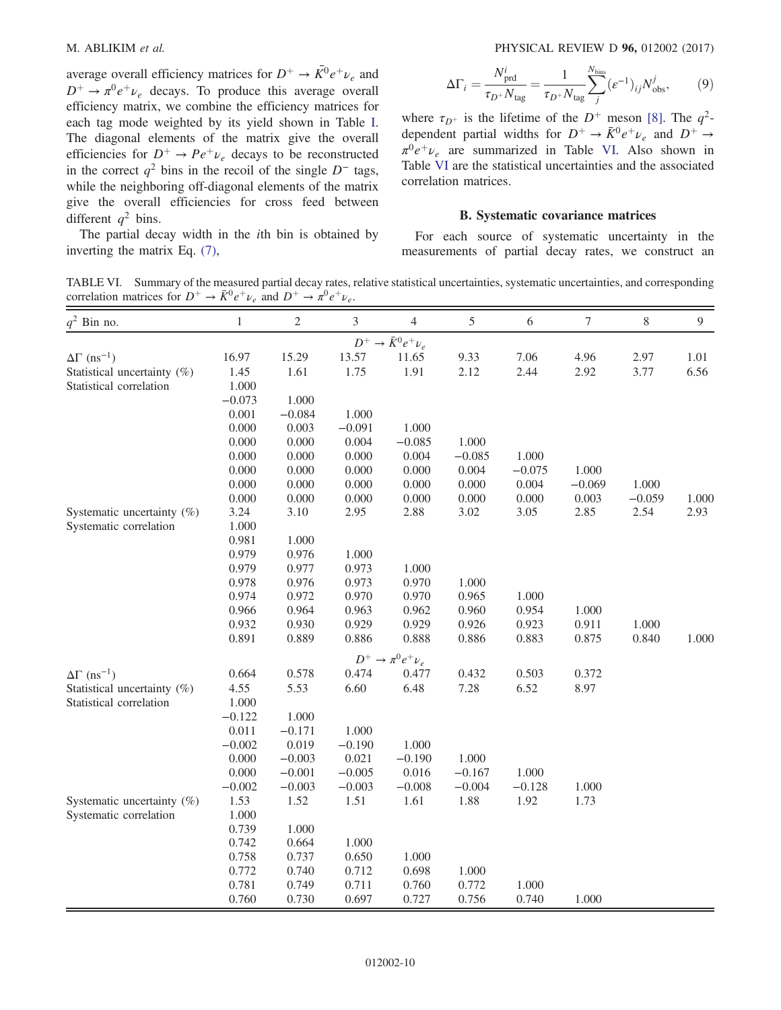average overall efficiency matrices for  $D^+ \rightarrow \overline{K}^0 e^+ \nu_e$  and  $D^+ \rightarrow \pi^0 e^+ \nu_e$  decays. To produce this average overall efficiency matrix, we combine the efficiency matrices for each tag mode weighted by its yield shown in Table [I](#page-3-1). The diagonal elements of the matrix give the overall efficiencies for  $D^+ \rightarrow Pe^+\nu_e$  decays to be reconstructed in the correct  $q^2$  bins in the recoil of the single  $D^-$  tags, while the neighboring off-diagonal elements of the matrix give the overall efficiencies for cross feed between different  $q^2$  bins.

The partial decay width in the ith bin is obtained by inverting the matrix Eq. [\(7\),](#page-8-3)

$$
\Delta\Gamma_i = \frac{N_{\text{prd}}^i}{\tau_{D^+} N_{\text{tag}}} = \frac{1}{\tau_{D^+} N_{\text{tag}}} \sum_j^{N_{\text{bins}}} (\varepsilon^{-1})_{ij} N_{\text{obs}}^j, \tag{9}
$$

where  $\tau_{D^+}$  is the lifetime of the  $D^+$  meson [\[8\].](#page-14-7) The  $q^2$ dependent partial widths for  $D^+ \rightarrow \bar{K}^0 e^+ \nu_e$  and  $D^+ \rightarrow$  $\pi^0 e^+ \nu_e$  are summarized in Table [VI.](#page-9-0) Also shown in Table [VI](#page-9-0) are the statistical uncertainties and the associated correlation matrices.

#### B. Systematic covariance matrices

For each source of systematic uncertainty in the measurements of partial decay rates, we construct an

<span id="page-9-0"></span>TABLE VI. Summary of the measured partial decay rates, relative statistical uncertainties, systematic uncertainties, and corresponding correlation matrices for  $D^+ \to \bar{K}^0 e^+ \nu_e$  and  $D^+ \to \pi^0 e^+ \nu_e$ .

| $q^2$ Bin no.                      | $\mathbf{1}$ | $\mathfrak{2}$ | 3        | $\overline{4}$                        | 5        | 6        | 7        | $8\,$    | $\mathbf{9}$ |
|------------------------------------|--------------|----------------|----------|---------------------------------------|----------|----------|----------|----------|--------------|
|                                    |              |                |          | $D^+ \rightarrow \bar{K}^0 e^+ \nu_e$ |          |          |          |          |              |
| $\Delta\Gamma$ (ns <sup>-1</sup> ) | 16.97        | 15.29          | 13.57    | 11.65                                 | 9.33     | 7.06     | 4.96     | 2.97     | 1.01         |
| Statistical uncertainty (%)        | 1.45         | 1.61           | 1.75     | 1.91                                  | 2.12     | 2.44     | 2.92     | 3.77     | 6.56         |
| Statistical correlation            | 1.000        |                |          |                                       |          |          |          |          |              |
|                                    | $-0.073$     | 1.000          |          |                                       |          |          |          |          |              |
|                                    | 0.001        | $-0.084$       | 1.000    |                                       |          |          |          |          |              |
|                                    | 0.000        | 0.003          | $-0.091$ | 1.000                                 |          |          |          |          |              |
|                                    | 0.000        | 0.000          | 0.004    | $-0.085$                              | 1.000    |          |          |          |              |
|                                    | 0.000        | 0.000          | 0.000    | 0.004                                 | $-0.085$ | 1.000    |          |          |              |
|                                    | 0.000        | 0.000          | 0.000    | 0.000                                 | 0.004    | $-0.075$ | 1.000    |          |              |
|                                    | 0.000        | 0.000          | 0.000    | 0.000                                 | 0.000    | 0.004    | $-0.069$ | 1.000    |              |
|                                    | 0.000        | 0.000          | 0.000    | 0.000                                 | 0.000    | 0.000    | 0.003    | $-0.059$ | 1.000        |
| Systematic uncertainty (%)         | 3.24         | 3.10           | 2.95     | 2.88                                  | 3.02     | 3.05     | 2.85     | 2.54     | 2.93         |
| Systematic correlation             | 1.000        |                |          |                                       |          |          |          |          |              |
|                                    | 0.981        | 1.000          |          |                                       |          |          |          |          |              |
|                                    | 0.979        | 0.976          | 1.000    |                                       |          |          |          |          |              |
|                                    | 0.979        | 0.977          | 0.973    | 1.000                                 |          |          |          |          |              |
|                                    | 0.978        | 0.976          | 0.973    | 0.970                                 | 1.000    |          |          |          |              |
|                                    | 0.974        | 0.972          | 0.970    | 0.970                                 | 0.965    | 1.000    |          |          |              |
|                                    | 0.966        | 0.964          | 0.963    | 0.962                                 | 0.960    | 0.954    | 1.000    |          |              |
|                                    | 0.932        | 0.930          | 0.929    | 0.929                                 | 0.926    | 0.923    | 0.911    | 1.000    |              |
|                                    | 0.891        | 0.889          | 0.886    | 0.888                                 | 0.886    | 0.883    | 0.875    | 0.840    | 1.000        |
|                                    |              |                |          | $D^+\to\pi^0e^+\nu_e$                 |          |          |          |          |              |
| $\Delta\Gamma$ (ns <sup>-1</sup> ) | 0.664        | 0.578          | 0.474    | 0.477                                 | 0.432    | 0.503    | 0.372    |          |              |
| Statistical uncertainty (%)        | 4.55         | 5.53           | 6.60     | 6.48                                  | 7.28     | 6.52     | 8.97     |          |              |
| Statistical correlation            | 1.000        |                |          |                                       |          |          |          |          |              |
|                                    | $-0.122$     | 1.000          |          |                                       |          |          |          |          |              |
|                                    | 0.011        | $-0.171$       | 1.000    |                                       |          |          |          |          |              |
|                                    | $-0.002$     | 0.019          | $-0.190$ | 1.000                                 |          |          |          |          |              |
|                                    | 0.000        | $-0.003$       | 0.021    | $-0.190$                              | 1.000    |          |          |          |              |
|                                    | 0.000        | $-0.001$       | $-0.005$ | 0.016                                 | $-0.167$ | 1.000    |          |          |              |
|                                    | $-0.002$     | $-0.003$       | $-0.003$ | $-0.008$                              | $-0.004$ | $-0.128$ | 1.000    |          |              |
| Systematic uncertainty (%)         | 1.53         | 1.52           | 1.51     | 1.61                                  | 1.88     | 1.92     | 1.73     |          |              |
| Systematic correlation             | 1.000        |                |          |                                       |          |          |          |          |              |
|                                    | 0.739        | 1.000          |          |                                       |          |          |          |          |              |
|                                    | 0.742        | 0.664          | 1.000    |                                       |          |          |          |          |              |
|                                    | 0.758        | 0.737          | 0.650    | 1.000                                 |          |          |          |          |              |
|                                    | 0.772        | 0.740          | 0.712    | 0.698                                 | 1.000    |          |          |          |              |
|                                    | 0.781        | 0.749          | 0.711    | 0.760                                 | 0.772    | 1.000    |          |          |              |
|                                    | 0.760        | 0.730          | 0.697    | 0.727                                 | 0.756    | 0.740    | 1.000    |          |              |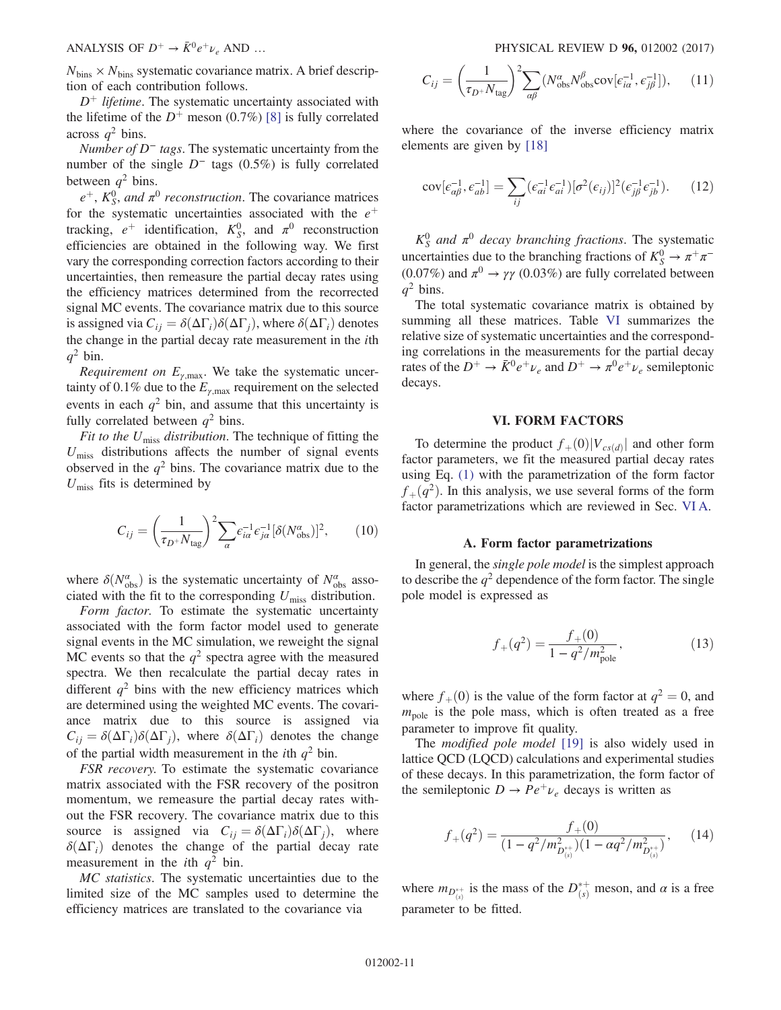$N_{\text{bins}} \times N_{\text{bins}}$  systematic covariance matrix. A brief description of each contribution follows.

 $D^+$  lifetime. The systematic uncertainty associated with the lifetime of the  $D^+$  meson (0.7%) [\[8\]](#page-14-7) is fully correlated across  $q^2$  bins.

Number of  $D^-$  tags. The systematic uncertainty from the number of the single  $D^-$  tags (0.5%) is fully correlated between  $q^2$  bins.

 $e^+$ ,  $K_S^0$ , and  $\pi^0$  reconstruction. The covariance matrices for the systematic uncertainties associated with the  $e^+$ tracking,  $e^+$  identification,  $K_S^0$ , and  $\pi^0$  reconstruction efficiencies are obtained in the following way. We first vary the corresponding correction factors according to their uncertainties, then remeasure the partial decay rates using the efficiency matrices determined from the recorrected signal MC events. The covariance matrix due to this source is assigned via  $C_{ij} = \delta(\Delta\Gamma_i)\delta(\Delta\Gamma_j)$ , where  $\delta(\Delta\Gamma_i)$  denotes the change in the partial decay rate measurement in the ith  $q^2$  bin.

Requirement on  $E_{\gamma,\text{max}}$ . We take the systematic uncertainty of 0.1% due to the  $E_{\gamma, \text{max}}$  requirement on the selected events in each  $q^2$  bin, and assume that this uncertainty is fully correlated between  $q^2$  bins.

Fit to the  $U_{\text{miss}}$  distribution. The technique of fitting the  $U_{\text{miss}}$  distributions affects the number of signal events observed in the  $q^2$  bins. The covariance matrix due to the  $U_{\text{miss}}$  fits is determined by

$$
C_{ij} = \left(\frac{1}{\tau_{D^+} N_{\text{tag}}}\right)^2 \sum_{\alpha} \epsilon_{i\alpha}^{-1} \epsilon_{j\alpha}^{-1} [\delta(N_{\text{obs}}^{\alpha})]^2, \qquad (10)
$$

where  $\delta(N_{\text{obs}}^{\alpha})$  is the systematic uncertainty of  $N_{\text{obs}}^{\alpha}$  associated with the fit to the corresponding  $U_{\text{miss}}$  distribution.

Form factor. To estimate the systematic uncertainty associated with the form factor model used to generate signal events in the MC simulation, we reweight the signal MC events so that the  $q^2$  spectra agree with the measured spectra. We then recalculate the partial decay rates in different  $q^2$  bins with the new efficiency matrices which are determined using the weighted MC events. The covariance matrix due to this source is assigned via  $C_{ij} = \delta(\Delta\Gamma_i)\delta(\Delta\Gamma_i)$ , where  $\delta(\Delta\Gamma_i)$  denotes the change of the partial width measurement in the *i*th  $q^2$  bin.

FSR recovery. To estimate the systematic covariance matrix associated with the FSR recovery of the positron momentum, we remeasure the partial decay rates without the FSR recovery. The covariance matrix due to this source is assigned via  $C_{ij} = \delta(\Delta\Gamma_i)\delta(\Delta\Gamma_j)$ , where  $\delta(\Delta\Gamma_i)$  denotes the change of the partial decay rate measurement in the *i*th  $q^2$  bin.

MC statistics. The systematic uncertainties due to the limited size of the MC samples used to determine the efficiency matrices are translated to the covariance via

$$
C_{ij} = \left(\frac{1}{\tau_D + N_{\text{tag}}}\right)^2 \sum_{\alpha\beta} (N_{\text{obs}}^{\alpha} N_{\text{obs}}^{\beta} \text{cov}[\epsilon_{i\alpha}^{-1}, \epsilon_{j\beta}^{-1}]), \quad (11)
$$

where the covariance of the inverse efficiency matrix elements are given by [\[18\]](#page-14-16)

$$
cov[\epsilon_{\alpha\beta}^{-1}, \epsilon_{ab}^{-1}] = \sum_{ij} (\epsilon_{ai}^{-1} \epsilon_{ai}^{-1}) [\sigma^2(\epsilon_{ij})]^2 (\epsilon_{j\beta}^{-1} \epsilon_{jb}^{-1}). \tag{12}
$$

 $K_S^0$  and  $\pi^0$  decay branching fractions. The systematic uncertainties due to the branching fractions of  $K^0_S \to \pi^+\pi^-$ (0.07%) and  $\pi^0 \rightarrow \gamma \gamma$  (0.03%) are fully correlated between  $q^2$  bins.

The total systematic covariance matrix is obtained by summing all these matrices. Table [VI](#page-9-0) summarizes the relative size of systematic uncertainties and the corresponding correlations in the measurements for the partial decay rates of the  $D^+ \to \bar{K}^0 e^+ \nu_e$  and  $D^+ \to \pi^0 e^+ \nu_e$  semileptonic decays.

### VI. FORM FACTORS

<span id="page-10-1"></span><span id="page-10-0"></span>To determine the product  $f_{+}(0)|V_{cs(d)}|$  and other form factor parameters, we fit the measured partial decay rates using Eq. [\(1\)](#page-2-9) with the parametrization of the form factor  $f_{+}(q^2)$ . In this analysis, we use several forms of the form factor parametrizations which are reviewed in Sec. [VI A](#page-10-1).

#### A. Form factor parametrizations

In general, the single pole model is the simplest approach to describe the  $q^2$  dependence of the form factor. The single pole model is expressed as

$$
f_{+}(q^{2}) = \frac{f_{+}(0)}{1 - q^{2}/m_{\text{pole}}^{2}},
$$
\n(13)

where  $f_+(0)$  is the value of the form factor at  $q^2 = 0$ , and  $m_{\text{pole}}$  is the pole mass, which is often treated as a free parameter to improve fit quality.

The *modified pole model* [\[19\]](#page-14-17) is also widely used in lattice QCD (LQCD) calculations and experimental studies of these decays. In this parametrization, the form factor of the semileptonic  $D \to Pe^+\nu_e$  decays is written as

$$
f_{+}(q^{2}) = \frac{f_{+}(0)}{(1 - q^{2}/m_{D_{(s)}^{*+}}^{2})(1 - \alpha q^{2}/m_{D_{(s)}^{*+}}^{2})},
$$
 (14)

where  $m_{D_{(s)}^{*+}}$  is the mass of the  $D_{(s)}^{*+}$  meson, and  $\alpha$  is a free parameter to be fitted.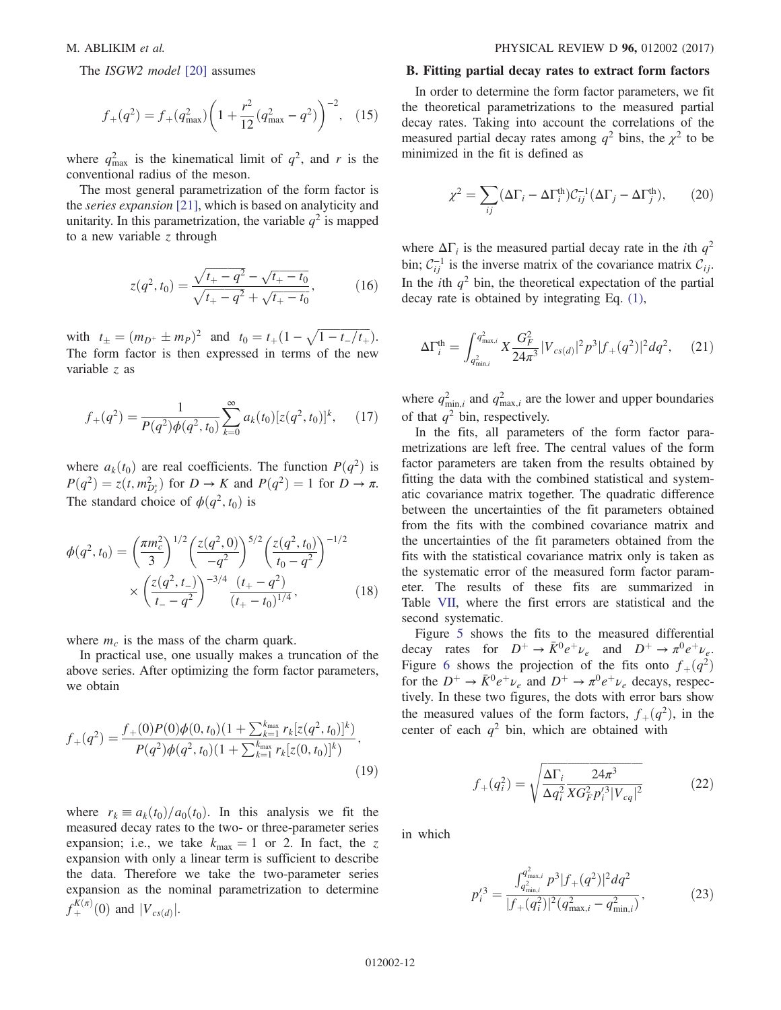The *ISGW2 model* [\[20\]](#page-14-18) assumes

$$
f_{+}(q^{2}) = f_{+}(q^{2}_{\max}) \left( 1 + \frac{r^{2}}{12} (q^{2}_{\max} - q^{2}) \right)^{-2}, \quad (15)
$$

where  $q_{\text{max}}^2$  is the kinematical limit of  $q^2$ , and r is the conventional radius of the meson.

The most general parametrization of the form factor is the series expansion [\[21\]](#page-14-19), which is based on analyticity and unitarity. In this parametrization, the variable  $q^2$  is mapped to a new variable z through

$$
z(q^2, t_0) = \frac{\sqrt{t_+ - q^2} - \sqrt{t_+ - t_0}}{\sqrt{t_+ - q^2} + \sqrt{t_+ - t_0}},\tag{16}
$$

with  $t_{\pm} = (m_{D^+} \pm m_P)^2$  and  $t_0 = t_+(1 - \sqrt{1 - t_-/t_+}).$ The form factor is then expressed in terms of the new variable z as

$$
f_{+}(q^{2}) = \frac{1}{P(q^{2})\phi(q^{2}, t_{0})} \sum_{k=0}^{\infty} a_{k}(t_{0}) [z(q^{2}, t_{0})]^{k}, \quad (17)
$$

where  $a_k(t_0)$  are real coefficients. The function  $P(q^2)$  is  $P(q^2) = z(t, m_{D_s^*}^2)$  for  $D \to K$  and  $P(q^2) = 1$  for  $D \to \pi$ . The standard choice of  $\phi(q^2, t_0)$  is

$$
\phi(q^2, t_0) = \left(\frac{\pi m_c^2}{3}\right)^{1/2} \left(\frac{z(q^2, 0)}{-q^2}\right)^{5/2} \left(\frac{z(q^2, t_0)}{t_0 - q^2}\right)^{-1/2} \times \left(\frac{z(q^2, t_-)}{t_- - q^2}\right)^{-3/4} \frac{(t_+ - q^2)}{(t_+ - t_0)^{1/4}},\tag{18}
$$

where  $m_c$  is the mass of the charm quark.

In practical use, one usually makes a truncation of the above series. After optimizing the form factor parameters, we obtain

$$
f_{+}(q^{2}) = \frac{f_{+}(0)P(0)\phi(0,t_{0})(1+\sum_{k=1}^{k_{\max}} r_{k}[z(q^{2},t_{0})]^{k})}{P(q^{2})\phi(q^{2},t_{0})(1+\sum_{k=1}^{k_{\max}} r_{k}[z(0,t_{0})]^{k})},
$$
\n(19)

where  $r_k \equiv a_k(t_0)/a_0(t_0)$ . In this analysis we fit the measured decay rates to the two- or three-parameter series expansion; i.e., we take  $k_{\text{max}} = 1$  or 2. In fact, the z expansion with only a linear term is sufficient to describe the data. Therefore we take the two-parameter series expansion as the nominal parametrization to determine  $f_+^{K(\pi)}(0)$  and  $|V_{cs(d)}|$ .

## B. Fitting partial decay rates to extract form factors

In order to determine the form factor parameters, we fit the theoretical parametrizations to the measured partial decay rates. Taking into account the correlations of the measured partial decay rates among  $q^2$  bins, the  $\chi^2$  to be minimized in the fit is defined as

$$
\chi^2 = \sum_{ij} (\Delta \Gamma_i - \Delta \Gamma_i^{\text{th}}) C_{ij}^{-1} (\Delta \Gamma_j - \Delta \Gamma_j^{\text{th}}), \qquad (20)
$$

where  $\Delta\Gamma_i$  is the measured partial decay rate in the *i*th  $q^2$ bin;  $C_{ii}^{-1}$  is the inverse matrix of the covariance matrix  $C_{ii}$ . In the *i*th  $q^2$  bin, the theoretical expectation of the partial decay rate is obtained by integrating Eq. [\(1\)](#page-2-9),

$$
\Delta\Gamma_i^{\text{th}} = \int_{q_{\text{min},i}^2}^{q_{\text{max},i}^2} X \frac{G_F^2}{24\pi^3} |V_{cs(d)}|^2 p^3 |f_+(q^2)|^2 dq^2, \quad (21)
$$

where  $q_{\min,i}^2$  and  $q_{\max,i}^2$  are the lower and upper boundaries of that  $q^2$  bin, respectively.

In the fits, all parameters of the form factor parametrizations are left free. The central values of the form factor parameters are taken from the results obtained by fitting the data with the combined statistical and systematic covariance matrix together. The quadratic difference between the uncertainties of the fit parameters obtained from the fits with the combined covariance matrix and the uncertainties of the fit parameters obtained from the fits with the statistical covariance matrix only is taken as the systematic error of the measured form factor parameter. The results of these fits are summarized in Table [VII](#page-12-0), where the first errors are statistical and the second systematic.

Figure [5](#page-12-1) shows the fits to the measured differential decay rates for  $D^+ \rightarrow \bar{K}^0 e^+ \nu_e$  and  $D^+ \rightarrow \pi^0 e^+ \nu_e$ . Figure [6](#page-13-2) shows the projection of the fits onto  $f_+(q^2)$ for the  $D^+ \rightarrow \bar{K}^0 e^+ \nu_e$  and  $D^+ \rightarrow \pi^0 e^+ \nu_e$  decays, respectively. In these two figures, the dots with error bars show the measured values of the form factors,  $f_+(q^2)$ , in the center of each  $q^2$  bin, which are obtained with

$$
f_{+}(q_i^2) = \sqrt{\frac{\Delta\Gamma_i}{\Delta q_i^2} \frac{24\pi^3}{X G_F^2 p_i'^3 |V_{cq}|^2}}
$$
(22)

in which

$$
p_i^{\prime 3} = \frac{\int_{q_{\min,i}}^{q_{\max,i}^2} p^3 |f_+(q^2)|^2 dq^2}{|f_+(q_i^2)|^2 (q_{\max,i}^2 - q_{\min,i}^2)},
$$
(23)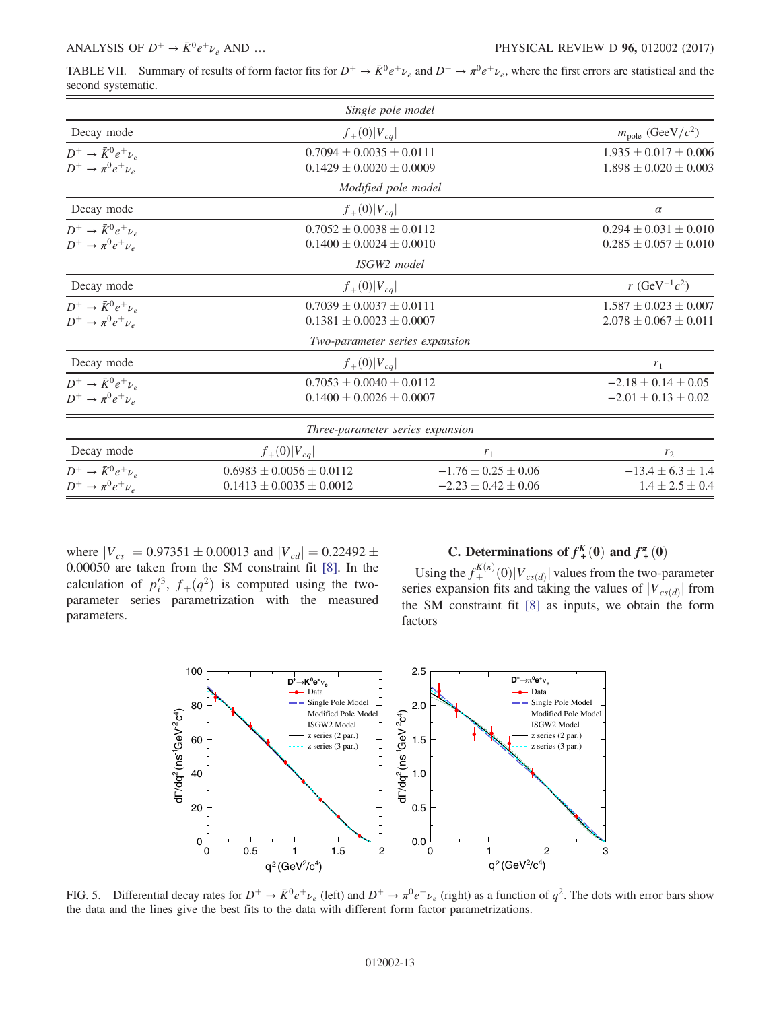<span id="page-12-0"></span>TABLE VII. Summary of results of form factor fits for  $D^+ \to \bar{K}^0 e^+ \nu_e$  and  $D^+ \to \pi^0 e^+ \nu_e$ , where the first errors are statistical and the second systematic.

|                                                                | Single pole model                                                |                                                        |                                                            |  |  |  |
|----------------------------------------------------------------|------------------------------------------------------------------|--------------------------------------------------------|------------------------------------------------------------|--|--|--|
| Decay mode                                                     | $f_{+}(0) V_{cq} $                                               |                                                        |                                                            |  |  |  |
| $D^+ \rightarrow \bar{K}^0 e^+ \nu_e$<br>$D^+\to\pi^0e^+\nu_e$ | $0.7094 \pm 0.0035 \pm 0.0111$<br>$0.1429 \pm 0.0020 \pm 0.0009$ |                                                        | $1.935 \pm 0.017 \pm 0.006$<br>$1.898 \pm 0.020 \pm 0.003$ |  |  |  |
|                                                                | Modified pole model                                              |                                                        |                                                            |  |  |  |
| Decay mode                                                     | $f_{+}(0) V_{cq} $                                               |                                                        | $\alpha$                                                   |  |  |  |
| $D^+ \rightarrow \bar{K}^0 e^+ \nu_e$<br>$D^+\to\pi^0e^+\nu_e$ | $0.7052 + 0.0038 + 0.0112$<br>$0.1400 \pm 0.0024 \pm 0.0010$     |                                                        | $0.294 \pm 0.031 \pm 0.010$<br>$0.285 \pm 0.057 \pm 0.010$ |  |  |  |
|                                                                | ISGW2 model                                                      |                                                        |                                                            |  |  |  |
| Decay mode                                                     | $f_{+}(0) V_{cq} $                                               | r (GeV <sup>-1</sup> $c^2$ )                           |                                                            |  |  |  |
| $D^+ \rightarrow \bar{K}^0 e^+ \nu_e$<br>$D^+\to\pi^0e^+\nu_e$ | $0.7039 + 0.0037 + 0.0111$<br>$0.1381 \pm 0.0023 \pm 0.0007$     |                                                        |                                                            |  |  |  |
|                                                                | Two-parameter series expansion                                   |                                                        |                                                            |  |  |  |
| Decay mode                                                     | $f_{+}(0) V_{cq} $                                               |                                                        | $r_1$                                                      |  |  |  |
| $D^+ \rightarrow \bar{K}^0 e^+ \nu_e$<br>$D^+\to\pi^0e^+\nu_e$ | $0.7053 \pm 0.0040 \pm 0.0112$<br>$0.1400 \pm 0.0026 \pm 0.0007$ |                                                        | $-2.18 \pm 0.14 \pm 0.05$<br>$-2.01 \pm 0.13 \pm 0.02$     |  |  |  |
|                                                                | <i>Three-parameter series expansion</i>                          |                                                        |                                                            |  |  |  |
| Decay mode                                                     | $f_{+}(0) V_{cq} $                                               | $r_1$                                                  | r <sub>2</sub>                                             |  |  |  |
| $D^+ \rightarrow \bar{K}^0 e^+ \nu_e$<br>$D^+\to\pi^0e^+\nu_e$ | $0.6983 \pm 0.0056 \pm 0.0112$<br>$0.1413 \pm 0.0035 \pm 0.0012$ | $-1.76 \pm 0.25 \pm 0.06$<br>$-2.23 \pm 0.42 \pm 0.06$ | $-13.4 \pm 6.3 \pm 1.4$<br>$1.4 \pm 2.5 \pm 0.4$           |  |  |  |

where  $|V_{cs}| = 0.97351 \pm 0.00013$  and  $|V_{cd}| = 0.22492 \pm 0.00013$ 0.00050 are taken from the SM constraint fit [\[8\].](#page-14-7) In the calculation of  $p_i^3$ ,  $f_+(q^2)$  is computed using the twoparameter series parametrization with the measured parameters.

# C. Determinations of  $f^{K}_{+}(0)$  and  $f^{T}_{+}(0)$

Using the  $f_+^{K(\pi)}(0)|V_{cs(d)}|$  values from the two-parameter series expansion fits and taking the values of  $|V_{cs(d)}|$  from the SM constraint fit [\[8\]](#page-14-7) as inputs, we obtain the form factors

<span id="page-12-1"></span>

FIG. 5. Differential decay rates for  $D^+ \to \bar{K}^0 e^+ \nu_e$  (left) and  $D^+ \to \pi^0 e^+ \nu_e$  (right) as a function of  $q^2$ . The dots with error bars show the data and the lines give the best fits to the data with different form factor parametrizations.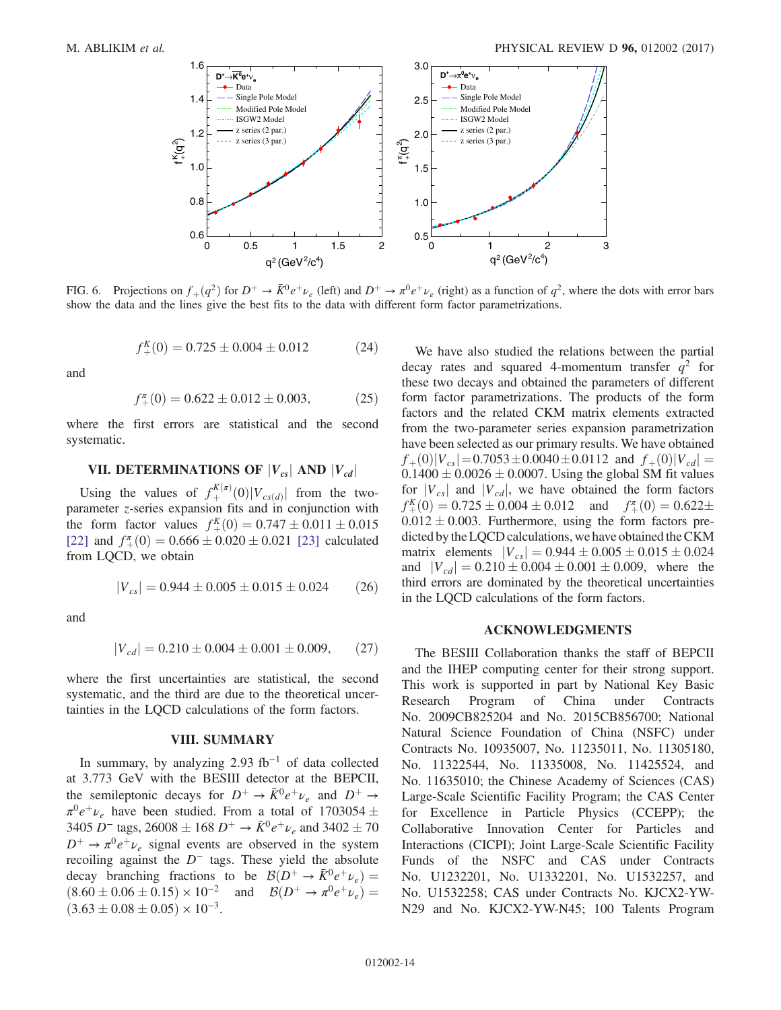<span id="page-13-2"></span>

FIG. 6. Projections on  $f_+(q^2)$  for  $D^+ \to \bar{K}^0 e^+ \nu_e$  (left) and  $D^+ \to \pi^0 e^+ \nu_e$  (right) as a function of  $q^2$ , where the dots with error bars show the data and the lines give the best fits to the data with different form factor parametrizations.

$$
f_+^K(0) = 0.725 \pm 0.004 \pm 0.012 \tag{24}
$$

and

$$
f_+^{\pi}(0) = 0.622 \pm 0.012 \pm 0.003,\tag{25}
$$

where the first errors are statistical and the second systematic.

# <span id="page-13-0"></span>VII. DETERMINATIONS OF  $|V_{cs}|$  AND  $|V_{cd}|$

Using the values of  $f_+^{K(\pi)}(0)|V_{cs(d)}|$  from the twoparameter *z*-series expansion fits and in conjunction with the form factor values  $f_+^K(0) = 0.747 \pm 0.011 \pm 0.015$ [\[22\]](#page-14-20) and  $f_{+}^{(0)} = 0.666 \pm 0.020 \pm 0.021$  [\[23\]](#page-14-21) calculated from LQCD, we obtain

$$
|V_{cs}| = 0.944 \pm 0.005 \pm 0.015 \pm 0.024 \tag{26}
$$

and

$$
|V_{cd}| = 0.210 \pm 0.004 \pm 0.001 \pm 0.009, \qquad (27)
$$

where the first uncertainties are statistical, the second systematic, and the third are due to the theoretical uncertainties in the LQCD calculations of the form factors.

#### VIII. SUMMARY

<span id="page-13-1"></span>In summary, by analyzing 2.93 fb<sup>−</sup><sup>1</sup> of data collected at 3.773 GeV with the BESIII detector at the BEPCII, the semileptonic decays for  $D^+ \rightarrow \bar{K}^0 e^+ \nu_e$  and  $D^+ \rightarrow$  $\pi^0 e^+ \nu_e$  have been studied. From a total of 1703054  $\pm$ 3405 D<sup>-</sup> tags, 26008 ± 168 D<sup>+</sup>  $\rightarrow \bar{K}^0 e^+ \nu_e$  and 3402 ± 70  $D^+ \rightarrow \pi^0 e^+ \nu_e$  signal events are observed in the system recoiling against the  $D^-$  tags. These yield the absolute decay branching fractions to be  $\mathcal{B}(D^+ \to \bar{K}^0 e^+ \nu_e)$  $(8.60 \pm 0.06 \pm 0.15) \times 10^{-2}$  and  $\mathcal{B}(D^+ \to \pi^0 e^+ \nu_e)$  $(3.63 \pm 0.08 \pm 0.05) \times 10^{-3}$ .

We have also studied the relations between the partial decay rates and squared 4-momentum transfer  $q^2$  for these two decays and obtained the parameters of different form factor parametrizations. The products of the form factors and the related CKM matrix elements extracted from the two-parameter series expansion parametrization have been selected as our primary results. We have obtained  $f_{+}(0)|V_{cs}| = 0.7053 \pm 0.0040 \pm 0.0112$  and  $f_{+}(0)|V_{cd}| =$  $0.1400 \pm 0.0026 \pm 0.0007$ . Using the global SM fit values for  $|V_{cs}|$  and  $|V_{cd}|$ , we have obtained the form factors  $f_{+}^{K}(0) = 0.725 \pm 0.004 \pm 0.012$  and  $f_{+}^{T}(0) = 0.622 \pm 0.004$  $0.012 \pm 0.003$ . Furthermore, using the form factors predicted by the LQCD calculations, we have obtained the CKM matrix elements  $|V_{cs}| = 0.944 \pm 0.005 \pm 0.015 \pm 0.024$ and  $|V_{cd}| = 0.210 \pm 0.004 \pm 0.001 \pm 0.009$ , where the third errors are dominated by the theoretical uncertainties in the LQCD calculations of the form factors.

#### ACKNOWLEDGMENTS

The BESIII Collaboration thanks the staff of BEPCII and the IHEP computing center for their strong support. This work is supported in part by National Key Basic Research Program of China under Contracts No. 2009CB825204 and No. 2015CB856700; National Natural Science Foundation of China (NSFC) under Contracts No. 10935007, No. 11235011, No. 11305180, No. 11322544, No. 11335008, No. 11425524, and No. 11635010; the Chinese Academy of Sciences (CAS) Large-Scale Scientific Facility Program; the CAS Center for Excellence in Particle Physics (CCEPP); the Collaborative Innovation Center for Particles and Interactions (CICPI); Joint Large-Scale Scientific Facility Funds of the NSFC and CAS under Contracts No. U1232201, No. U1332201, No. U1532257, and No. U1532258; CAS under Contracts No. KJCX2-YW-N29 and No. KJCX2-YW-N45; 100 Talents Program